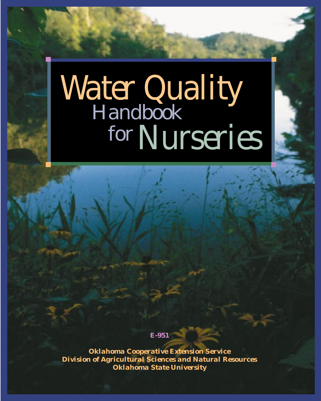# *Nurseries* forHandbook *Water Quality*

**E-951**

*Oklahoma Cooperative Extension Service Division of Agricultural Sciences and Natural Resources Oklahoma State University*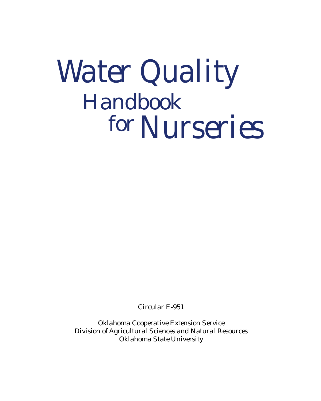

*Circular E-951*

*Oklahoma Cooperative Extension Service Division of Agricultural Sciences and Natural Resources Oklahoma State University*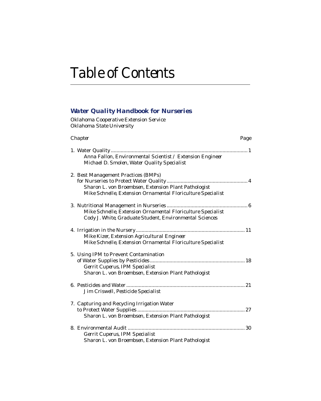# *Table of Contents*

### *Water Quality Handbook for Nurseries*

*Oklahoma Cooperative Extension Service Oklahoma State University*

| Chapter<br>Page                                                                                                                                            |
|------------------------------------------------------------------------------------------------------------------------------------------------------------|
| . 1<br>Anna Fallon, Environmental Scientist / Extension Engineer<br>Michael D. Smolen, Water Quality Specialist                                            |
| 2. Best Management Practices (BMPs)<br>Sharon L. von Broembsen, Extension Plant Pathologist<br>Mike Schnelle, Extension Ornamental Floriculture Specialist |
| Mike Schnelle, Extension Ornamental Floriculture Specialist<br>Cody J. White, Graduate Student, Environmental Sciences                                     |
| Mike Kizer, Extension Agricultural Engineer<br>Mike Schnelle, Extension Ornamental Floriculture Specialist                                                 |
| 5. Using IPM to Prevent Contamination<br>Gerrit Cuperus, IPM Specialist<br>Sharon L. von Broembsen, Extension Plant Pathologist                            |
| Jim Criswell, Pesticide Specialist                                                                                                                         |
| 7. Capturing and Recycling Irrigation Water<br>Sharon L. von Broembsen, Extension Plant Pathologist                                                        |
| Gerrit Cuperus, IPM Specialist<br>Sharon L. von Broembsen, Extension Plant Pathologist                                                                     |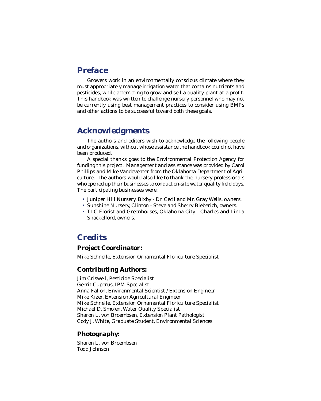### *Preface*

Growers work in an environmentally conscious climate where they must appropriately manage irrigation water that contains nutrients and pesticides, while attempting to grow and sell a quality plant at a profit. This handbook was written to challenge nursery personnel who may not be currently using best management practices to consider using BMPs and other actions to be successful toward both these goals.

### *Acknowledgments*

The authors and editors wish to acknowledge the following people and organizations, without whose assistance the handbook could not have been produced.

A special thanks goes to the Environmental Protection Agency for funding this project. Management and assistance was provided by Carol Phillips and Mike Vandeventer from the Oklahoma Department of Agriculture. The authors would also like to thank the nursery professionals who opened up their businesses to conduct on-site water quality field days. The participating businesses were:

- Juniper Hill Nursery, Bixby Dr. Cecil and Mr. Gray Wells, owners.
- Sunshine Nursery, Clinton Steve and Sherry Bieberich, owners.
- TLC Florist and Greenhouses, Oklahoma City Charles and Linda Shackelford, owners.

### *Credits*

### *Project Coordinator:*

Mike Schnelle, Extension Ornamental Floriculture Specialist

### *Contributing Authors:*

Jim Criswell, Pesticide Specialist Gerrit Cuperus, IPM Specialist Anna Fallon, Environmental Scientist / Extension Engineer Mike Kizer, Extension Agricultural Engineer Mike Schnelle, Extension Ornamental Floriculture Specialist Michael D. Smolen, Water Quality Specialist Sharon L. von Broembsen, Extension Plant Pathologist Cody J. White, Graduate Student, Environmental Sciences

### *Photography:*

Sharon L. von Broembsen Todd Johnson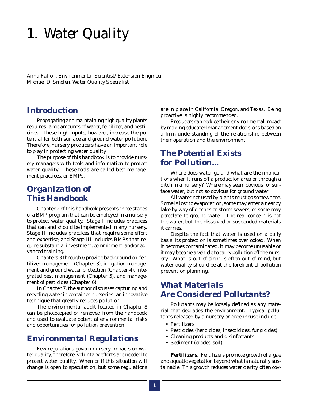# *1. Water Quality*

*Anna Fallon, Environmental Scientist/Extension Engineer Michael D. Smolen, Water Quality Specialist*

### *Introduction*

Propagating and maintaining high quality plants requires large amounts of water, fertilizer, and pesticides. These high inputs, however, increase the potential for both surface and ground water pollution. Therefore, nursery producers have an important role to play in protecting water quality.

The purpose of this handbook is to provide nursery managers with tools and information to protect water quality. These tools are called best management practices, or BMPs.

### *Organization of This Handbook*

Chapter 2 of this handbook presents three stages of a BMP program that can be employed in a nursery to protect water quality. Stage I includes practices that can and should be implemented in any nursery. Stage II includes practices that require some effort and expertise, and Stage III includes BMPs that require substantial investment, commitment, and/or advanced training.

Chapters 3 through 6 provide background on fertilizer management (Chapter 3), irrigation management and ground water protection (Chapter 4), integrated pest management (Chapter 5), and management of pesticides (Chapter 6).

In Chapter 7, the author discusses capturing and recycling water in container nurseries–an innovative technique that greatly reduces pollution.

The environmental audit located in Chapter 8 can be photocopied or removed from the handbook and used to evaluate potential environmental risks and opportunities for pollution prevention.

### *Environmental Regulations*

Few regulations govern nursery impacts on water quality; therefore, voluntary efforts are needed to protect water quality. When or if this situation will change is open to speculation, but some regulations are in place in California, Oregon, and Texas. Being proactive is highly recommended.

Producers can reduce their environmental impact by making educated management decisions based on a firm understanding of the relationship between their operation and the environment.

### *The Potential Exists for Pollution...*

Where does water go and what are the implications when it runs off a production area or through a ditch in a nursery? *Where* may seem obvious for surface water, but not so obvious for ground water.

All water not used by plants must go somewhere. Some is lost to evaporation, some may enter a nearby lake by way of ditches or storm sewers, or some may percolate to ground water. The real concern is not the water, but the dissolved or suspended materials it carries.

Despite the fact that water is used on a daily basis, its protection is sometimes overlooked. When it becomes contaminated, it may become unusable or it may become a vehicle to carry pollution off the nursery. What is out of sight is often out of mind, but water quality should be at the forefront of pollution prevention planning.

### *What Materials Are Considered Pollutants?*

Pollutants may be loosely defined as any material that degrades the environment. Typical pollutants released by a nursery or greenhouse include:

- Fertilizers
- Pesticides (herbicides, insecticides, fungicides)
- Cleaning products and disinfectants
- Sediment (eroded soil)

*Fertilizers.* Fertilizers promote growth of algae and aquatic vegetation beyond what is naturally sustainable. This growth reduces water clarity, often cov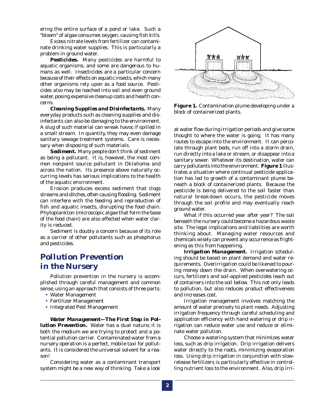ering the entire surface of a pond or lake. Such a "bloom" of algae consumes oxygen, causing fish kills.

Excess nitrate levels from fertilizer can contaminate drinking water supplies. This is particularly a problem in ground water.

*Pesticides.* Many pesticides are harmful to aquatic organisms, and some are dangerous to humans as well. Insecticides are a particular concern because of their effects on aquatic insects, which many other organisms rely upon as a food source. Pesticides also may be leached into soil and even ground water, posing expensive cleanup costs and health concerns.

*Cleaning Supplies and Disinfectants.* Many everyday products such as cleaning supplies and disinfectants can also be damaging to the environment. A slug of such material can wreak havoc if spilled in a small stream. In quantity, they may even damage sanitary sewage treatment systems. Care is necessary when disposing of such materials.

*Sediment.* Many people don't think of sediment as being a pollutant. It is, however, the most common nonpoint source pollutant in Oklahoma and across the nation. Its presence above naturally occurring levels has serious implications to the health of the aquatic environment.

Erosion produces excess sediment that clogs streams and ditches, often causing flooding. Sediment can interfere with the feeding and reproduction of fish and aquatic insects, disrupting the food chain. Phytoplankton (microscopic algae that form the base of the food chain) are also affected when water clarity is reduced.

Sediment is doubly a concern because of its role as a carrier of other pollutants such as phosphorus and pesticides.

### *Pollution Prevention in the Nursery*

Pollution prevention in the nursery is accomplished through careful management and common sense, using an approach that consists of three parts:

- Water Management
- Fertilizer Management
- Integrated Pest Management

*Water Management—The First Step in Pollution Prevention.* Water has a dual nature; it is both the medium we are trying to protect and a potential pollution carrier. Contaminated water from a nursery operation is a perfect, mobile taxi for pollutants. It is considered the universal solvent for a reason!

Considering water as a contaminant transport system might be a new way of thinking. Take a look



**Figure 1.** Contamination plume developing under a block of containerized plants.

at water flow during irrigation periods and give some thought to where the water is going. It has many routes to escape into the environment. It can percolate through plant beds, run off into a storm drain, run directly into a lake or stream, or disappear into a sanitary sewer. Whatever its destination, water can carry pollutants into the environment. **Figure 1** illustrates a situation where continual pesticide application has led to growth of a contaminant plume beneath a block of containerized plants. Because the pesticide is being delivered to the soil faster than natural breakdown occurs, the pesticide moves through the soil profile and may eventually reach ground water.

What if this occurred year after year? The soil beneath the nursery could become a hazardous waste site. The legal implications and liabilities are worth thinking about. Managing water resources and chemicals wisely can prevent any occurrence as frightening as this from happening.

*Irrigation Management.* Irrigation scheduling should be based on plant demand and water requirements. Overirrigation could be likened to pouring money down the drain. When overwatering occurs, fertilizers and soil-applied pesticides leach out of containers into the soil below. This not only leads to pollution, but also reduces product effectiveness and increases cost.

Irrigation management involves matching the amount of water precisely to plant needs. Adjusting irrigation frequency through careful scheduling and application efficiency with hand watering or drip irrigation can reduce water use and reduce or eliminate water pollution.

Choose a watering system that minimizes water loss, such as drip irrigation. Drip irrigation delivers water directly to the roots, minimizing evaporation loss. Using drip irrigation in conjunction with slowrelease fertilizers is particularly effective in controlling nutrient loss to the environment. Also, drip irri-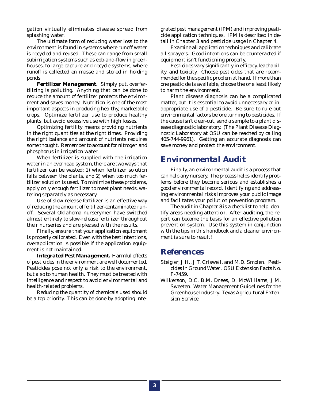gation virtually eliminates disease spread from splashing water.

The ultimate form of reducing water loss to the environment is found in systems where runoff water is recycled and reused. These can range from small subirrigation systems such as ebb-and-flow in greenhouses, to large capture-and-recycle systems, where runoff is collected en masse and stored in holding ponds.

*Fertilizer Management.* Simply put, overfertilizing is polluting. Anything that can be done to reduce the amount of fertilizer protects the environment and saves money. Nutrition is one of the most important aspects in producing healthy, marketable crops. Optimize fertilizer use to produce healthy plants, but avoid excessive use with high losses.

Optimizing fertility means providing nutrients in the right quantities at the right times. Providing the right balance and amount of nutrients requires some thought. Remember to account for nitrogen and phosphorus in irrigation water.

When fertilizer is supplied with the irrigation water in an overhead system, there are two ways that fertilizer can be wasted: 1) when fertilizer solution falls between the plants, and 2) when too much fertilizer solution is used. To minimize these problems, apply only enough fertilizer to meet plant needs, watering separately as necessary.

Use of slow-release fertilizer is an effective way of reducing the amount of fertilizer-contaminated runoff. Several Oklahoma nurserymen have switched almost entirely to slow-release fertilizer throughout their nurseries and are pleased with the results.

Finally, ensure that your application equipment is properly calibrated. Even with the best intentions, overapplication is possible if the application equipment is not maintained.

*Integrated Pest Management.* Harmful effects of pesticides in the environment are well documented. Pesticides pose not only a risk to the environment, but also to human health. They must be treated with intelligence and respect to avoid environmental and health-related problems.

Reducing the quantity of chemicals used should be a top priority. This can be done by adopting integrated pest management (IPM) and improving pesticide application techniques. IPM is described in detail in Chapter 3 and pesticide usage in Chapter 4.

Examine all application techniques and calibrate all sprayers. Good intentions can be counteracted if equipment isn't functioning properly.

Pesticides vary significantly in efficacy, leachability, and toxicity. Choose pesticides that are recommended for the specific problem at hand. If more than one pesticide is available, choose the one least likely to harm the environment.

Plant disease diagnosis can be a complicated matter, but it is essential to avoid unnecessary or inappropriate use of a pesticide. Be sure to rule out environmental factors before turning to pesticides. If the cause isn't clear-cut, send a sample to a plant disease diagnostic laboratory. (The Plant Disease Diagnostic Laboratory at OSU can be reached by calling 405-744-9961). Getting an accurate diagnosis can save money and protect the environment.

### *Environmental Audit*

Finally, an environmental audit is a process that can help any nursery. The process helps identify problems before they become serious and establishes a good environmental record. Identifying and addressing environmental risks improves your public image and facilitates your pollution prevention program.

The audit in Chapter 8 is a checklist to help identify areas needing attention. After auditing, the report can become the basis for an effective pollution prevention system. Use this system in conjunction with the tips in this handbook and a cleaner environment is sure to result!

### *References*

- Steigler, J.H., J.T. Criswell, and M.D. Smolen. *Pesticides in Ground Water*. OSU Extension Facts No. F-7459.
- Wilkerson, D.C, B.M. Drees, D. McWilliams, J.M. Sweeten. Water Management Guidelines for the Greenhouse Industry. Texas Agricultural Extension Service.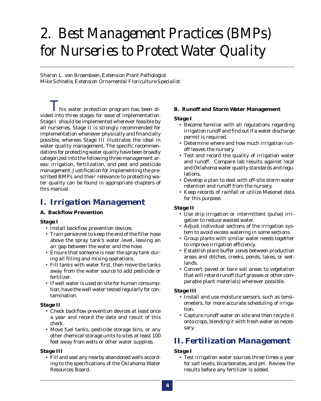# *2. Best Management Practices (BMPs) for Nurseries to Protect Water Quality*

*Sharon L. von Broembsen, Extension Plant Pathologist Mike Schnelle, Extension Ornamental Floriculture Specialist*

 $\boldsymbol{I}$  his water protection program has been divided into three stages for ease of implementation. Stage I should be implemented wherever feasible by all nurseries. Stage II is strongly recommended for implementation whenever physically and financially possible, whereas Stage III illustrates the ideal in water quality management. The specific recommendations for protecting water quality have been broadly categorized into the following three management areas: irrigation, fertilization, and pest and pesticide management. Justification for implementing the prescribed BMPs and their relevance to protecting water quality can be found in appropriate chapters of this manual.

### *I. Irrigation Management*

### **A. Backflow Prevention**

### *Stage I*

- Install backflow prevention devices.
- Train personnel to keep the end of the filler hose above the spray tank's water level, leaving an air gap between the water and the hose.
- Ensure that someone is near the spray tank during all filling and mixing operations.
- Fill tanks with water first, then move the tanks away from the water source to add pesticide or fertilizer.
- If well water is used on site for human consumption, have the well water tested regularly for contamination.

#### *Stage II*

- Check backflow prevention devices at least once a year and record the date and result of this check.
- Move fuel tanks, pesticide storage bins, or any other chemical storage units to sites at least 100 feet away from wells or other water supplies.

### *Stage III*

• Fill and seal any nearby abandoned wells according to the specifications of the Oklahoma Water Resources Board.

### **B. Runoff and Storm Water Management**

### *Stage I*

- Become familiar with all regulations regarding irrigation runoff and find out if a water discharge permit is required.
- Determine where and how much irrigation runoff leaves the nursery.
- Test and record the quality of irrigation water and runoff. Compare lab results against local and Oklahoma water quality standards and regulations.
- Develop a plan to deal with off-site storm water retention and runoff from the nursery.
- Keep records of rainfall or utilize Mesonet data for this purpose.

### *Stage II*

- Use drip irrigation or intermittent (pulse) irrigation to reduce wasted water.
- Adjust individual sections of the irrigation system to avoid excess watering in some sections.
- Group plants with similar water needs together to improve irrigation efficiency.
- Establish plant buffer zones between production areas and ditches, creeks, ponds, lakes, or wetlands.
- Convert paved or bare soil areas to vegetation that will retard runoff (turf grasses or other comparable plant materials) wherever possible.

### *Stage III*

- Install and use moisture sensors, such as tensiometers, for more accurate scheduling of irrigation.
- Capture runoff water on site and then recycle it onto crops, blending it with fresh water as necessary.

### *II. Fertilization Management*

### *Stage I*

• Test irrigation water sources three times a year for salt levels, bicarbonates, and pH. Review the results before any fertilizer is added.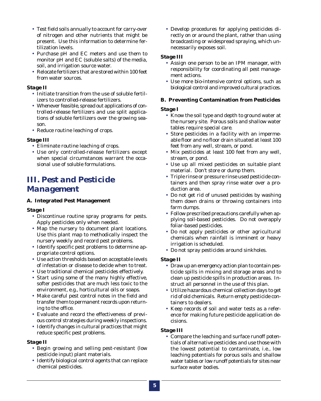- Test field soils annually to account for carry-over of nitrogen and other nutrients that might be present. Use this information to determine fertilization levels.
- Purchase pH and EC meters and use them to monitor pH and EC (soluble salts) of the media, soil, and irrigation source water.
- Relocate fertilizers that are stored within 100 feet from water sources.

### *Stage II*

- Initiate transition from the use of soluble fertilizers to controlled-release fertilizers.
- Whenever feasible, spread out applications of controlled-release fertilizers and use split applications of soluble fertilizers over the growing season.
- Reduce routine leaching of crops.

### *Stage III*

- Eliminate routine leaching of crops.
- Use only controlled-release fertilizers except when special circumstances warrant the occasional use of soluble formulations.

### *III. Pest and Pesticide Management*

### **A. Integrated Pest Management**

### *Stage I*

- Discontinue routine spray programs for pests. Apply pesticides only when needed.
- Map the nursery to document plant locations. Use this plant map to methodically inspect the nursery weekly and record pest problems.
- Identify specific pest problems to determine appropriate control options.
- Use action thresholds based on acceptable levels of infestation or disease to decide when to treat.
- Use traditional chemical pesticides effectively.
- Start using some of the many highly effective, softer pesticides that are much less toxic to the environment, e.g., horticultural oils or soaps.
- Make careful pest control notes in the field and transfer them to permanent records upon returning to the office.
- Evaluate and record the effectiveness of previous control strategies during weekly inspections.
- Identify changes in cultural practices that might reduce specific pest problems.

### *Stage II*

- Begin growing and selling pest-resistant (low pesticide input) plant materials.
- Identify biological control agents that can replace chemical pesticides.

• Develop procedures for applying pesticides directly on or around the plant, rather than using broadcasting or widespread spraying, which unnecessarily exposes soil.

### *Stage III*

- Assign one person to be an IPM manager, with responsibility for coordinating all pest management actions.
- Use more bio-intensive control options, such as biological control and improved cultural practices.

### **B. Preventing Contamination from Pesticides**

### *Stage I*

- Know the soil type and depth to ground water at the nursery site. Porous soils and shallow water tables require special care.
- Store pesticides in a facility with an impermeable floor and no floor drain situated at least 100 feet from any well, stream, or pond.
- Mix pesticides at least 100 feet from any well, stream, or pond.
- Use up all mixed pesticides on suitable plant material. Don't store or dump them.
- Triple rinse or pressure rinse used pesticide containers and then spray rinse water over a production area.
- Do not get rid of unused pesticides by washing them down drains or throwing containers into farm dumps.
- Follow prescribed precautions carefully when applying soil-based pesticides. Do not overapply foliar-based pesticides.
- Do not apply pesticides or other agricultural chemicals when rainfall is imminent or heavy irrigation is scheduled.
- Do not spray pesticides around sinkholes.

### *Stage II*

- Draw up an emergency action plan to contain pesticide spills in mixing and storage areas and to clean up pesticide spills in production areas. Instruct all personnel in the use of this plan.
- Utilize hazardous chemical collection days to get rid of old chemicals. Return empty pesticide containers to dealers.
- Keep records of soil and water tests as a reference for making future pesticide application decisions.

### *Stage III*

• Compare the leaching and surface runoff potentials of alternative pesticides and use those with the lowest potential to contaminate, i.e., low leaching potentials for porous soils and shallow water tables or low runoff potentials for sites near surface water bodies.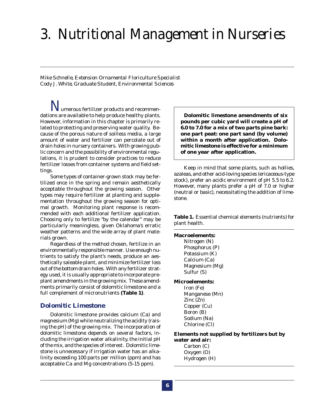# *3. Nutritional Management in Nurseries*

*Mike Schnelle, Extension Ornamental Floriculture Specialist Cody J. White, Graduate Student, Environmental Sciences*

*N*umerous fertilizer products and recommendations are available to help produce healthy plants. However, information in this chapter is primarily related to protecting and preserving water quality. Because of the porous nature of soilless media, a large amount of water and fertilizer can percolate out of drain holes in nursery containers. With growing public concern and the possibility of environmental regulations, it is prudent to consider practices to reduce fertilizer losses from container systems and field settings.

Some types of container-grown stock may be fertilized once in the spring and remain aesthetically acceptable throughout the growing season. Other types may require fertilizer at planting and supplementation throughout the growing season for optimal growth. Monitoring plant response is recommended with each additional fertilizer application. Choosing only to fertilize "by the calendar" may be particularly meaningless, given Oklahoma's erratic weather patterns and the wide array of plant materials grown.

Regardless of the method chosen, fertilize in an environmentally responsible manner. Use enough nutrients to satisfy the plant's needs, produce an aesthetically saleable plant, and minimize fertilizer loss out of the bottom drain holes. With any fertilizer strategy used, it is usually appropriate to incorporate preplant amendments in the growing mix. These amendments primarily consist of dolomitic limestone and a full complement of micronutrients **(Table 1)**.

### *Dolomitic Limestone*

Dolomitic limestone provides calcium (Ca) and magnesium (Mg) while neutralizing the acidity (raising the pH) of the growing mix. The incorporation of dolomitic limestone depends on several factors, including the irrigation water alkalinity, the initial pH of the mix, and the species of interest. Dolomitic limestone is unnecessary if irrigation water has an alkalinity exceeding 100 parts per million (ppm) and has acceptable Ca and Mg concentrations (5-15 ppm).

**Dolomitic limestone amendments of six pounds per cubic yard will create a pH of 6.0 to 7.0 for a mix of two parts pine bark: one part peat: one part sand (by volume) within a month after application. Dolomitic limestone is effective for a minimum of one year after application.**

Keep in mind that some plants, such as hollies, azaleas, and other acid-loving species (ericaceous-type stock), prefer an acidic environment of pH 5.5 to 6.2. However, many plants prefer a pH of 7.0 or higher (neutral or basic), necessitating the addition of limestone.

**Table 1.** Essential chemical elements (nutrients) for plant health.

### **Macroelements:**

Nitrogen (N) Phosphorus (P) Potassium (K) Calcium (Ca) Magnesium (Mg) Sulfur (S)

#### **Microelements:**

Iron (Fe) Manganese (Mn) Zinc (Zn) Copper (Cu) Boron (B) Sodium (Na) Chlorine (Cl)

#### **Elements not supplied by fertilizers but by**

**water and air:** Carbon (C) Oxygen (O) Hydrogen (H)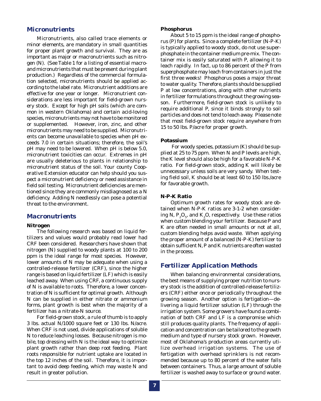### *Micronutrients*

Micronutrients, also called trace elements or minor elements, are mandatory in small quantities for proper plant growth and survival. They are as important as major or macronutrients such as nitrogen (N). (See Table 1 for a listing of essential macroand micronutrients that must be present during plant production.) Regardless of the commercial formulation selected, micronutrients should be applied according to the label rate. Micronutrient additions are effective for one year or longer. Micronutrient considerations are less important for field-grown nursery stock. Except for high pH soils (which are common in western Oklahoma) and certain acid-loving species, micronutrients may not have to be monitored or supplemented. However, iron, zinc, and other micronutrients may need to be supplied. Micronutrients can become unavailable to species when pH exceeds 7.0 in certain situations; therefore, the soil's pH may need to be lowered. When pH is below 5.0, micronutrient toxicities can occur. Extremes in pH are usually deleterious to plants in relationship to micronutrient status of the soil. Your county Cooperative Extension educator can help should you suspect a micronutrient deficiency or need assistance in field soil testing. Micronutrient deficiencies are mentioned since they are commonly misdiagnosed as a N deficiency. Adding N needlessly can pose a potential threat to the environment.

### *Macronutrients*

#### **Nitrogen**

The following research was based on liquid fertilizers and values would probably read lower had CRF been considered. Researchers have shown that nitrogen (N) supplied to woody plants at 100 to 200 ppm is the ideal range for most species. However, lower amounts of N may be adequate when using a controlled-release fertilizer (CRF), since the higher range is based on liquid fertilizer (LF) which is easily leached away. When using CRF, a continuous supply of N is available to roots. Therefore, a lower concentration of N is sufficient for optimal growth. Although N can be supplied in either nitrate or ammonium forms, plant growth is best when the majority of a fertilizer has a nitrate-N source.

For field-grown stock, a rule of thumb is to apply 3 lbs. actual N/1000 square feet or 130 lbs. N/acre. When CRF is not used, divide applications of soluble N to reduce leaching losses. Because nitrogen is mobile, top dressing with N is the ideal way to optimize plant growth rather than deep root feeding. Plant roots responsible for nutrient uptake are located in the top 12 inches of the soil. Therefore, it is important to avoid deep feeding, which may waste N and result in greater pollution.

#### **Phosphorus**

About 5 to 15 ppm is the ideal range of phosphorus (P) for plants. Since a complete fertilizer (N-P-K) is typically applied to woody stock, do not use superphosphate in the container medium pre-mix. The container mix is easily saturated with P, allowing it to leach rapidly. In fact, up to 86 percent of the P from superphosphate may leach from containers in just the first three weeks! Phosphorus poses a major threat to water quality. Therefore, plants should be supplied P at low concentrations, along with other nutrients in fertilizer formulations throughout the growing season. Furthermore, field-grown stock is unlikely to require additional P, since it binds strongly to soil particles and does not tend to leach away. Please note that most field-grown stock require anywhere from 15 to 50 lbs. P/acre for proper growth.

#### **Potassium**

 For woody species, potassium (K) should be supplied at 25 to 75 ppm. When N and P levels are high, the K level should also be high for a favorable N-P-K ratio. For field-grown stock, adding K will likely be unnecessary unless soils are very sandy. When testing field soil, K should be at least 60 to 150 lbs./acre for favorable growth.

#### **N-P-K Ratio**

Optimum growth rates for woody stock are obtained when N-P-K ratios are 3-1-2 when considering N,  $P_2O_5$ , and  $K_2O$ , respectively. Use these ratios when custom blending your fertilizer. Because P and K are often needed in small amounts or not at all, custom blending helps avoid waste. When applying the proper amount of a balanced (N-P-K) fertilizer to obtain sufficient N, P and K nutrients are often wasted in the process.

### *Fertilizer Application Methods*

When balancing environmental considerations, the best means of supplying proper nutrition to nursery stock is the addition of controlled-release fertilizers (CRF) either once or periodically throughout the growing season. Another option is fertigation—delivering a liquid fertilizer solution (LF) through the irrigation system. Some growers have found a combination of both CRF and LF is a compromise which still produces quality plants. The frequency of application and concentration can be tailored to the growth medium and type of nursery stock grown. However, most of Oklahoma's production areas currently utilize overhead irrigation systems. The use of fertigation with overhead sprinklers is not recommended because up to 80 percent of the water falls between containers. Thus, a large amount of soluble fertilizer is washed away to surface or ground water.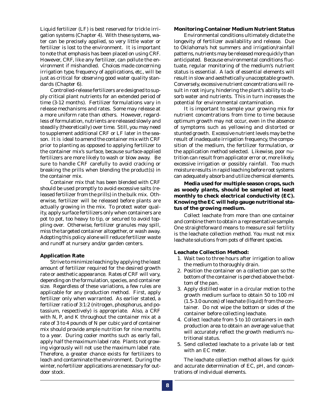Liquid fertilizer (LF) is best reserved for trickle irrigation systems (Chapter 4). With these systems, water can be precisely applied, so very little water or fertilizer is lost to the environment. It is important to note that emphasis has been placed on using CRF. However, CRF, like any fertilizer, can pollute the environment if mishandled. *Choices made concerning irrigation type, frequency of applications, etc., will be just as critical for observing good water quality standards (Chapter 6).*

Controlled-release fertilizers are designed to supply critical plant nutrients for an extended period of time (3-12 months). Fertilizer formulations vary in release mechanisms and rates. Some may release at a more uniform rate than others. However, regardless of formulation, nutrients are released slowly and steadily (theoretically) over time. Still, you may need to supplement additional CRF or LF later in the season. It is ideal to amend the container mix with CRF prior to planting as opposed to applying fertilizer to the container mix's surface, because surface-applied fertilizers are more likely to wash or blow away. Be sure to handle CRF carefully to avoid cracking or breaking the prills when blending the product(s) in the container mix.

Container mix that has been blended with CRF should be used promptly to avoid excessive salts (released fertilizer from the prills) in the bulk mix. Otherwise, fertilizer will be released before plants are actually growing in the mix. To protect water quality, apply surface fertilizers only when containers are pot to pot, too heavy to tip, or secured to avoid toppling over. Otherwise, fertilizer granules may spill, miss the targeted container altogether, or wash away. Adopting this policy alone will reduce fertilizer waste and runoff at nursery and/or garden centers.

#### **Application Rate**

Strive to minimize leaching by applying the least amount of fertilizer required for the desired growth rate or aesthetic appearance. Rates of CRF will vary, depending on the formulation, species, and container size. Regardless of these variations, a few rules are applicable for any production method. First, apply fertilizer only when warranted. As earlier stated, a fertilizer ratio of 3:1:2 (nitrogen, phosphorus, and potassium, respectively) is appropriate. Also, a CRF with N, P, and K throughout the container mix at a rate of 3 to 4 pounds of N per cubic yard of container mix should provide ample nutrition for nine months to a year. During cooler months such as early fall, apply half the maximum label rate. Plants not growing vigorously will not use the maximum label rate. Therefore, a greater chance exists for fertilizers to leach and contaminate the environment. During the winter, no fertilizer applications are necessary for outdoor stock.

### **Monitoring Container Medium Nutrient Status**

Environmental conditions ultimately dictate the longevity of fertilizer availability and release. Due to Oklahoma's hot summers and irrigation/rainfall patterns, nutrients may be released more quickly than anticipated. Because environmental conditions fluctuate, regular monitoring of the medium's nutrient status is essential. A lack of essential elements will result in slow and aesthetically unacceptable growth. Conversely, excessive nutrient concentrations will result in root injury, hindering the plant's ability to absorb water and nutrients. This in turn increases the potential for environmental contamination.

It is important to sample your growing mix for nutrient concentrations from time to time because optimum growth may not occur, even in the absence of symptoms such as yellowing and distorted or stunted growth. Excessive nutrient levels may be the result of inadequate irrigation frequency, the composition of the medium, the fertilizer formulation, or the application method selected. Likewise, poor nutrition can result from applicator error or, more likely, excessive irrigation or possibly rainfall. Too much moisture results in rapid leaching before root systems can adequately absorb and utilize chemical elements.

**Media used for multiple season crops, such as woody plants, should be sampled at least monthly to check electrical conductivity (EC). Knowing the EC will help gauge nutritional status of the growing medium***.*

Collect leachate from more than one container and combine them to obtain a representative sample. One straightforward means to measure soil fertility is the leachate collection method. *You must not mix leachate solutions from pots of different species.*

### **Leachate Collection Method:**

- 1. Wait two to three hours after irrigation to allow the medium to thoroughly drain.
- 2. Position the container on a collection pan so the bottom of the container is perched above the bottom of the pan.
- 3. Apply distilled water in a circular motion to the growth medium surface to obtain 50 to 100 ml (1.5-3.0 ounces) of leachate (liquid) from the container. Do not wipe the bottom or sides of the container before collecting leachate.
- 4. Collect leachate from 5 to 10 containers in each production area to obtain an average value that will accurately reflect the growth medium's nutritional status.
- 5. Send collected leachate to a private lab or test with an EC meter.

The leachate collection method allows for quick and accurate determination of EC, pH, and concentrations of individual elements.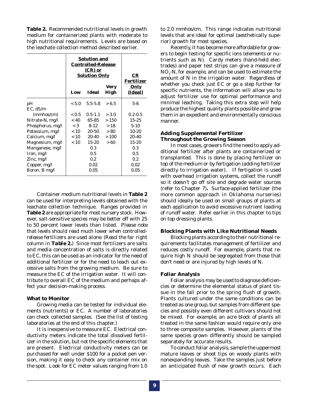**Table 2.** Recommended nutritional levels in growth medium for containerized plants with moderate to high nutritional requirements. Levels are based on the leachate collection method described earlier.

|                  | <b>Solution and</b><br><b>Controlled-Release</b><br><b>Solution Only</b> | CR<br>Fertilizer |                     |                        |
|------------------|--------------------------------------------------------------------------|------------------|---------------------|------------------------|
|                  | Low                                                                      | <b>Ideal</b>     | <b>Very</b><br>High | <u>Only</u><br>(Ideal) |
| pН               | < 5.0                                                                    | $5.5 - 5.8$      | > 6.5               | 5-6                    |
| $EC.$ dS/m       |                                                                          |                  |                     |                        |
| (mmhos/cm)       | < 0.5                                                                    | $0.5 - 1.1$      | > 3.0               | $0.2 - 0.5$            |
| Nitrate-N, mg/l  | ~< 40                                                                    | 65-85            | >150                | $15 - 25$              |
| Phosphorus, mg/l | < 3                                                                      | $8-12$           | >18                 | $5-10$                 |
| Potassium, mg/l  | < 10                                                                     | 20-50            | > 80                | $10-20$                |
| Calcium, mg/l    | < 10                                                                     | 20-40            | >100                | 20-40                  |
| Magnesium, mg/l  | < 10                                                                     | $15-20$          | >60                 | $15 - 20$              |
| Manganese, mg/l  |                                                                          | 0.3              |                     | 0.3                    |
| Iron, $mg/l$     |                                                                          | 0.5              |                     | 0.5                    |
| Zinc, $mg/l$     |                                                                          | 0.2              |                     | 0.2                    |
| Copper, mg/l     |                                                                          | 0.02             |                     | 0.02                   |
| Boron, B mg/l    |                                                                          | 0.05             |                     | 0.05                   |

Container medium nutritional levels in **Table 2** can be used for interpreting levels obtained with the leachate collection technique. Ranges provided in **Table 2** are appropriate for most nursery stock. However, salt-sensitive species may be better off with 25 to 50 percent lower levels than listed. *Please note that levels should read much lower when controlledrelease fertilizers are used alone. (Read the far right column in Table 2.)* Since most fertilizers are salts and media concentration of salts is directly related to EC, this can be used as an indicator for the need of additional fertilizer or for the need to leach out excessive salts from the growing medium. Be sure to measure the EC of the irrigation water. It will contribute to overall EC of the medium and perhaps affect your decision-making process.

#### **What to Monitor**

Growing media can be tested for individual elements (nutrients) or EC. A number of laboratories can check collected samples. (See the list of testing laboratories at the end of this chapter.)

It is inexpensive to measure EC. Electrical conductivity meters indicate the total dissolved fertilizer in the solution, but not the specific elements that are present. Electrical conductivity meters can be purchased for well under \$100 for a pocket pen version, making it easy to check any container mix on the spot. Look for EC meter values ranging from 1.0

to 2.0 mmhos/cm. This range indicates nutritional levels that are ideal for optimal (aesthetically superior) growth for most species.

Recently, it has become more affordable for growers to begin testing for specific ions (elements or nutrients such as N). Cardy meters (hand-held electrodes) and paper test strips can give a measure of  $\rm NO_{_3}\text{-}N$ , for example, and can be used to estimate the amount of N in the irrigation water. Regardless of whether you check just EC or go a step further for specific nutrients, the information will allow you to adjust fertilizer use for optimal performance and minimal leaching. Taking this extra step will help produce the highest quality plants possible and grow them in an expedient and environmentally conscious manner.

### **Adding Supplemental Fertilizer Throughout the Growing Season**

In most cases, growers find the need to apply additional fertilizer after plants are containerized or transplanted. This is done by placing fertilizer on top of the medium or by fertigation (adding fertilizer directly to irrigation water). If fertigation is used with overhead irrigation systems, collect the runoff so it doesn't go off site and degrade water sources (refer to Chapter 7)*.* Surface-applied fertilizer (the more common approach in Oklahoma nurseries) should ideally be used on small groups of plants at each application to avoid excessive nutrient loading of runoff water. Refer earlier in this chapter to tips on top dressing plants.

#### **Blocking Plants with Like Nutritional Needs**

Blocking plants according to their nutritional requirements facilitates management of fertilizer and reduces costly runoff. For example, plants that require high N should be segregated from those that don't need or are injured by high levels of N.

#### **Foliar Analysis**

Foliar analysis may be used to diagnose deficiencies or determine the elemental status of plant tissue in the fall prior to the spring flush of growth. Plants cultured under the same conditions can be treated as one group, but samples from different species and possibly even different cultivars should not be mixed. For example, an acre block of plants all treated in the same fashion would require only one to three composite samples. However, plants of the same species grown differently should be sampled separately for accurate results.

To conduct foliar analysis, sample the uppermost mature leaves or shoot tips on woody plants with nonexpanding leaves. Take the samples just before an anticipated flush of new growth occurs. Each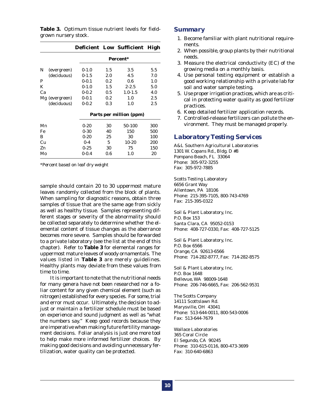|  | <b>Table 3.</b> Optimum tissue nutrient levels for field- |  |  |  |
|--|-----------------------------------------------------------|--|--|--|
|  | grown nursery stock.                                      |  |  |  |

|    |                |           |     | Deficient Low Sufficient High |     |
|----|----------------|-----------|-----|-------------------------------|-----|
|    |                |           |     | Percent*                      |     |
| N  | (evergreen)    | $0-1.0$   | 1.5 | 3.5                           | 5.5 |
|    | (deciduous)    | $0 - 1.5$ | 2.0 | 4.5                           | 7.0 |
| P  |                | $0-0.1$   | 0.2 | 0.6                           | 1.0 |
| K  |                | $0 - 1.0$ | 1.5 | $2 - 2.5$                     | 5.0 |
| Ca |                | $0 - 0.2$ | 0.5 | $1.0 - 1.5$                   | 4.0 |
|    | Mg (evergreen) | $0 - 0.1$ | 0.2 | 1.0                           | 2.5 |
|    | (deciduous)    | $0 - 0.2$ | 0.3 | 1.0                           | 2.5 |
|    |                |           |     | Parts per million (ppm)       |     |
| Mn |                | $0 - 20$  | 30  | 50-100                        | 300 |
| Fe |                | $0 - 30$  | 40  | 150                           | 500 |
| В  |                | $0 - 20$  | 25  | 30                            | 100 |
| Cu |                | $0-4$     | 5   | $10-20$                       | 200 |
| Zn |                | $0 - 25$  | 30  | 75                            | 150 |
| Mo |                | $0 - 0.4$ | 0.6 | 1.0                           | 20  |

*\*Percent based on leaf dry weight*

sample should contain 20 to 30 uppermost mature leaves randomly collected from the block of plants. When sampling for diagnostic reasons, obtain three samples of tissue that are the same age from sickly as well as healthy tissue. Samples representing different stages or severity of the abnormality should be collected separately to determine whether the elemental content of tissue changes as the aberrance becomes more severe. Samples should be forwarded to a private laboratory (see the list at the end of this chapter). Refer to **Table 3** for elemental ranges for uppermost mature leaves of woody ornamentals. The values listed in **Table 3** are merely guidelines. Healthy plants may deviate from these values from time to time.

It is important to note that the nutritional needs for many genera have not been researched nor a foliar content for any given chemical element (such as nitrogen) established for every species. For some, trial and error must occur. Ultimately, the decision to adjust or maintain a fertilizer schedule must be based on experience and sound judgment as well as "what the numbers say." Keep good records because they are imperative when making future fertility management decisions. Foliar analysis is just one more tool to help make more informed fertilizer choices. By making good decisions and avoiding unnecessary fertilization, water quality can be protected.

### *Summary*

- 1. Become familiar with plant nutritional requirements.
- 2. When possible, group plants by their nutritional needs.
- 3. Measure the electrical conductivity (EC) of the growing media on a monthly basis.
- 4. Use personal testing equipment or establish a good working relationship with a private lab for soil and water sample testing.
- 5. Use proper irrigation practices, which are as critical in protecting water quality as good fertilizer practices.
- 6. Keep detailed fertilizer application records.
- 7. Controlled-release fertilizers can pollute the environment. They must be managed properly.

### *Laboratory Testing Services*

A&L Southern Agricultural Laboratories 1301 W. Copans Rd., Bldg. D #8 Pompano Beach, FL 33064 Phone: 305-972-3255 Fax: 305-972-7885

Scotts Testing Laboratory 6656 Grant Way Allentown, PA 18106 Phone: 215-395-7105, 800-743-4769 Fax: 215-395-0322

Soil & Plant Laboratory, Inc. P.O. Box 153 Santa Clara, CA 95052-0153 Phone: 408-727-0330, Fax: 408-727-5125

Soil & Plant Laboratory, Inc. P.O. Box 6566 Orange, CA 92613-6566 Phone: 714-282-8777, Fax: 714-282-8575

Soil & Plant Laboratory, Inc. P.O. Box 1648 Bellevue, WA 98009-1648 Phone: 206-746-6665, Fax: 206-562-9531

The Scotts Company 14111 Scottslawn Rd. Marysville, OH 43041 Phone: 513-644-0011, 800-543-0006 Fax: 513-644-7679

Wallace Laboratories 365 Coral Circle El Segundo, CA 90245 Phone: 310-615-0116, 800-473-3699 Fax: 310-640-6863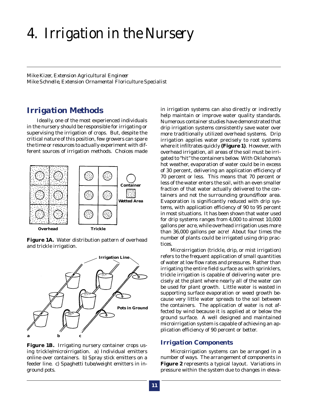# *4. Irrigation in the Nursery*

*Mike Kizer, Extension Agricultural Engineer Mike Schnelle, Extension Ornamental Floriculture Specialist*

### *Irrigation Methods*

Ideally, one of the most experienced individuals in the nursery should be responsible for irrigating or supervising the irrigation of crops. But, despite the critical nature of this position, few growers can spare the time or resources to actually experiment with different sources of irrigation methods. Choices made







**Figure 1B.** Irrigating nursery container crops using trickle/microirrigation. a) Individual emitters online over containers. b) Spray stick emitters on a feeder line. c) Spaghetti tube/weight emitters in inground pots.

in irrigation systems can also directly or indirectly help maintain or improve water quality standards. Numerous container studies have demonstrated that drip irrigation systems consistently save water over more traditionally utilized overhead systems. Drip irrigation applies water precisely to root systems where it infiltrates quickly **(Figure 1)**. However, with overhead irrigation, all areas of the soil must be irrigated to "hit" the containers below. With Oklahoma's hot weather, evaporation of water could be in excess of 30 percent, delivering an application efficiency of 70 percent or less. This means that 70 percent or less of the water enters the soil, with an even smaller fraction of that water actually delivered to the containers and not the surrounding ground/floor area. Evaporation is significantly reduced with drip systems, with application efficiency of 90 to 95 percent in most situations. It has been shown that water used for drip systems ranges from 4,000 to almost 10,000 gallons per acre, while overhead irrigation uses more than 36,000 gallons per acre! About four times the number of plants could be irrigated using drip practices.

Microirrigation (trickle, drip, or mist irrigation) refers to the frequent application of small quantities of water at low flow rates and pressures. Rather than irrigating the entire field surface as with sprinklers, trickle irrigation is capable of delivering water precisely at the plant where nearly all of the water can be used for plant growth. Little water is wasted in supporting surface evaporation or weed growth because very little water spreads to the soil between the containers. The application of water is not affected by wind because it is applied at or below the ground surface. A well designed and maintained microirrigation system is capable of achieving an application efficiency of 90 percent or better.

### *Irrigation Components*

Microirrigation systems can be arranged in a number of ways. The arrangement of components in **Figure 2** represents a typical layout. Variations in pressure within the system due to changes in eleva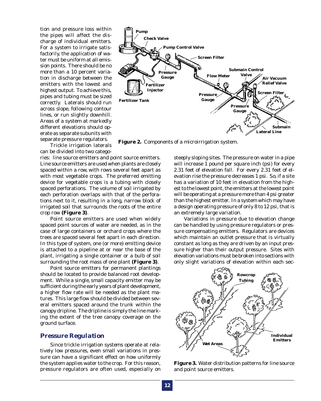tion and pressure loss within the pipes will affect the discharge of individual emitters. For a system to irrigate satisfactorily, the application of water must be uniform at all emission points. There should be no more than a 10 percent variation in discharge between the emitters with the lowest and highest output. To achieve this, pipes and tubing must be sized correctly. Laterals should run across slope, following contour lines, or run slightly downhill. Areas of a system at markedly different elevations should operate as separate subunits with separate pressure regulators.



**Figure 2.** Components of a microirrigation system.

Trickle irrigation laterals can be divided into two catego-

ries: line source emitters and point source emitters. Line source emitters are used when plants are closely spaced within a row, with rows several feet apart as with most vegetable crops. The preferred emitting device for vegetable crops is a tubing with closely spaced perforations. The volume of soil irrigated by each perforation overlaps with that of the perforations next to it, resulting in a long, narrow block of irrigated soil that surrounds the roots of the entire crop row **(Figure 3)**.

Point source emitters are used when widely spaced point sources of water are needed, as in the case of large containers or orchard crops where the trees are spaced several feet apart in each direction. In this type of system, one (or more) emitting device is attached to a pipeline at or near the base of the plant, irrigating a single container or a bulb of soil surrounding the root mass of one plant **(Figure 3)**.

Point source emitters for permanent plantings should be located to provide balanced root development. While a single, small capacity emitter may be sufficient during the early years of plant development, a higher flow rate will be needed as the plant matures. This large flow should be divided between several emitters spaced around the trunk within the canopy dripline. The dripline is simply the line marking the extent of the tree canopy coverage on the ground surface.

### *Pressure Regulation*

Since trickle irrigation systems operate at relatively low pressures, even small variations in pressure can have a significant effect on how uniformly the system applies water to the crop. For this reason, pressure regulators are often used, especially on steeply sloping sites. The pressure on water in a pipe will increase 1 pound per square inch (psi) for every 2.31 feet of elevation fall. For every 2.31 feet of elevation rise the pressure decreases 1 psi. So, if a site has a variation of 10 feet in elevation from the highest to the lowest point, the emitters at the lowest point will be operating at a pressure more than 4 psi greater than the highest emitter. In a system which may have a design operating pressure of only 8 to 12 psi, that is an extremely large variation.

Variations in pressure due to elevation change can be handled by using pressure regulators or pressure compensating emitters. Regulators are devices which maintain an outlet pressure that is virtually constant as long as they are driven by an input pressure higher than their output pressure. Sites with elevation variations must be broken into sections with only slight variations of elevation within each sec-



**Figure 3.** Water distribution patterns for line source and point source emitters.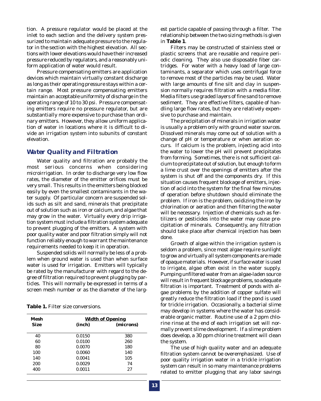tion. A pressure regulator would be placed at the inlet to each section and the delivery system pressurized to maintain adequate pressure to the regulator in the section with the highest elevation. All sections with lower elevations would have their increased pressure reduced by regulators, and a reasonably uniform application of water would result.

Pressure compensating emitters are application devices which maintain virtually constant discharge as long as their operating pressure stays within a certain range. Most pressure compensating emitters maintain an acceptable uniformity of discharge in the operating range of 10 to 30 psi. Pressure compensating emitters require no pressure regulator, but are substantially more expensive to purchase than ordinary emitters. However, they allow uniform application of water in locations where it is difficult to divide an irrigation system into subunits of constant elevation.

### *Water Quality and Filtration*

Water quality and filtration are probably the most serious concerns when considering microirrigation. In order to discharge very low flow rates, the diameter of the emitter orifices must be very small. This results in the emitters being blocked easily by even the smallest contaminants in the water supply. Of particular concern are suspended solids such as silt and sand, minerals that precipitate out of solution such as iron or calcium, and algae that may grow in the water. Virtually every drip irrigation system must include a filtration system adequate to prevent plugging of the emitters. A system with poor quality water and poor filtration simply will not function reliably enough to warrant the maintenance requirements needed to keep it in operation.

Suspended solids will normally be less of a problem when ground water is used than when surface water is used for irrigation. Emitters will typically be rated by the manufacturer with regard to the degree of filtration required to prevent plugging by particles. This will normally be expressed in terms of a screen mesh number or as the diameter of the larg-

**Table 1.** Filter size conversions.

| Mesh | <b>Width of Opening</b> |           |  |  |
|------|-------------------------|-----------|--|--|
| Size | (inch)                  | (microns) |  |  |
| 40   | 0.0150                  | 380       |  |  |
| 60   | 0.0100                  | 260       |  |  |
| 80   | 0.0070                  | 180       |  |  |
| 100  | 0.0060                  | 140       |  |  |
| 140  | 0.0041                  | 105       |  |  |
| 200  | 0.0029                  | 74        |  |  |
| 400  | 0.0011                  | 27        |  |  |

est particle capable of passing through a filter. The relationship between the two sizing methods is given in **Table 1**.

Filters may be constructed of stainless steel or plastic screens that are reusable and require periodic cleaning. They also use disposable fiber cartridges. For water with a heavy load of large contaminants, a separator which uses centrifugal force to remove most of the particles may be used. Water with large amounts of fine silt and clay in suspension normally requires filtration with a media filter. Media filters use graded layers of fine sand to remove sediment. They are effective filters, capable of handling large flow rates, but they are relatively expensive to purchase and maintain.

The precipitation of minerals in irrigation water is usually a problem only with ground water sources. Dissolved minerals may come out of solution with a change of pH or temperature or when aeration occurs. If calcium is the problem, injecting acid into the water to lower the pH will prevent precipitates from forming. Sometimes, there is not sufficient calcium to precipitate out of solution, but enough to form a lime crust over the openings of emitters after the system is shut off and the components dry. If this situation causes frequent blockage of emitters, injection of acid into the system for the final few minutes of operation before shutdown should eliminate the problem. If iron is the problem, oxidizing the iron by chlorination or aeration and then filtering the water will be necessary. Injection of chemicals such as fertilizers or pesticides into the water may cause precipitation of minerals. Consequently, any filtration should take place after chemical injection has been done.

Growth of algae within the irrigation system is seldom a problem, since most algae require sunlight to grow and virtually all system components are made of opaque materials. However, if surface water is used to irrigate, algae often exist in the water supply. Pumping unfiltered water from an algae-laden source will result in frequent blockage problems, so adequate filtration is important. Treatment of ponds with algae problems by the addition of copper sulfate will greatly reduce the filtration load if the pond is used for trickle irrigation. Occasionally, a bacterial slime may develop in systems where the water has considerable organic matter. Routine use of a 2 ppm chlorine rinse at the end of each irrigation set will normally prevent slime development. If a slime problem does develop, a 30 ppm chlorine treatment will clean the system.

The use of high quality water and an adequate filtration system cannot be overemphasized. Use of poor quality irrigation water in a trickle irrigation system can result in so many maintenance problems related to emitter plugging that any labor savings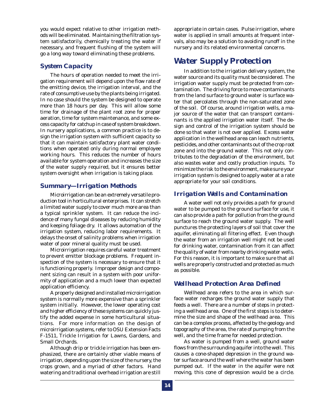you would expect relative to other irrigation methods will be eliminated. Maintaining the filtration system satisfactorily, chemically treating the water if necessary, and frequent flushing of the system will go a long way toward eliminating these problems.

### *System Capacity*

The hours of operation needed to meet the irrigation requirement will depend upon the flow rate of the emitting device, the irrigation interval, and the rate of consumptive use by the plants being irrigated. In no case should the system be designed to operate more than 18 hours per day. This will allow some time for drainage of the plant root zone for proper aeration, time for system maintenance, and some excess capacity for catchup in case of system breakdown. In nursery applications, a common practice is to design the irrigation system with sufficient capacity so that it can maintain satisfactory plant water conditions when operated only during normal employee working hours. This reduces the number of hours available for system operation and increases the size of the water supply required, but it ensures better system oversight when irrigation is taking place.

### *Summary—Irrigation Methods*

Microirrigation can be an extremely versatile production tool in horticultural enterprises. It can stretch a limited water supply to cover much more area than a typical sprinkler system. It can reduce the incidence of many fungal diseases by reducing humidity and keeping foliage dry. It allows automation of the irrigation system, reducing labor requirements. It delays the onset of salinity problems when irrigation water of poor mineral quality must be used.

Microirrigation requires careful water treatment to prevent emitter blockage problems. Frequent inspection of the system is necessary to ensure that it is functioning properly. Improper design and component sizing can result in a system with poor uniformity of application and a much lower than expected application efficiency.

A properly designed and installed microirrigation system is normally more expensive than a sprinkler system *initially*. However, the lower operating cost and higher efficiency of these systems can quickly justify the added expense in some horticultural situations. For more information on the design of microirrigation systems, refer to OSU Extension Facts F-1511, Trickle Irrigation for Lawns, Gardens, and Small Orchards.

Although drip or trickle irrigation has been emphasized, there are certainly other viable means of irrigation, depending upon the size of the nursery, the crops grown, and a myriad of other factors. Hand watering and traditional overhead irrigation are still

appropriate in certain cases. Pulse irrigation, where water is applied in small amounts at frequent intervals, also may be a solution to avoiding runoff in the nursery and its related environmental concerns.

### *Water Supply Protection*

In addition to the irrigation delivery system, the water source and its quality must be considered. The irrigation water supply must be protected from contamination. The driving force to move contaminants from the land surface to ground water is surface water that percolates through the non-saturated zone of the soil. Of course, around irrigation wells, a major source of the water that can transport contaminants is the applied irrigation water itself. The design and control of the irrigation system should be done so that water is not over applied. Excess water application in the wellhead area can leach nutrients, pesticides, and other contaminants out of the crop root zone and into the ground water. This not only contributes to the degradation of the environment, but also wastes water and costly production inputs. To minimize the risk to the environment, make sure your irrigation system is designed to apply water at a rate appropriate for your soil conditions.

### *Irrigation Wells and Contamination*

A water well not only provides a path for ground water to be pumped to the ground surface for use, it can also provide a path for pollution from the ground surface to reach the ground water supply. The well punctures the protecting layers of soil that cover the aquifer, eliminating all filtering effect. Even though the water from an irrigation well might not be used for drinking water, contamination from it can affect the quality of water from nearby drinking water wells. For this reason, it is important to make sure that all wells are properly constructed and protected as much as possible.

### *Wellhead Protection Area Defined*

Wellhead area refers to the area in which surface water recharges the ground water supply that feeds a well. There are a number of steps in protecting a wellhead area. One of the first steps is to determine the size and shape of the wellhead area. This can be a complex process, affected by the geology and topography of the area, the rate of pumping from the well, and the time frame for needed protection.

As water is pumped from a well, ground water flows from the surrounding aquifer into the well. This causes a cone-shaped depression in the ground water surface around the well where the water has been pumped out. If the water in the aquifer were not moving, this cone of depression would be a circle.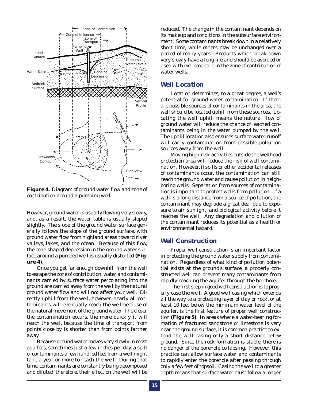

**Figure 4.** Diagram of ground water flow and zone of contribution around a pumping well.

However, ground water is usually flowing very slowly, and, as a result, the water table is usually sloped slightly. The slope of the ground water surface generally follows the slope of the ground surface, with ground water flow from highland areas toward river valleys, lakes, and the ocean. Because of this flow, the cone-shaped depression in the ground water surface around a pumped well is usually distorted **(Figure 4)**.

Once you get far enough downhill from the well to escape the zone of contribution, water and contaminants carried by surface water percolating into the ground are carried away from the well by the natural ground water flow and will not affect your well. Directly uphill from the well, however, nearly all contaminants will eventually reach the well because of the natural movement of the ground water. The closer the contamination occurs, the more quickly it will reach the well, because the time of transport from points close by is shorter than from points farther away.

Because ground water moves very slowly in most aquifers, sometimes just a few inches per day, a spill of contaminants a few hundred feet from a well might take a year or more to reach the well. During that time, contaminants are constantly being decomposed and diluted; therefore, their effect on the well will be reduced. The change in the contaminant depends on its makeup and conditions in the subsurface environment. Some contaminants break down in a relatively short time, while others may be unchanged over a period of many years. Products which break down very slowly have a long life and should be avoided or used with extreme care in the zone of contribution of water wells.

### *Well Location*

Location determines, to a great degree, a well's potential for ground water contamination. If there are possible sources of contaminants in the area, the well should be located uphill from these sources. Locating the well uphill means the natural flow of ground water will reduce the chance of leached contaminants being in the water pumped by the well. The uphill location also ensures surface water runoff will carry contamination from possible pollution sources away from the well.

Moving high-risk activities outside the wellhead protection area will reduce the risk of well contamination. However, if spills or other accidental releases of contaminants occur, the contamination can still reach the ground water and cause pollution in neighboring wells. Separation from sources of contamination is important to protect wells from pollution. If a well is a long distance from a source of pollution, the contaminant may degrade a great deal due to exposure to air, sunlight, and biological activity before it reaches the well. Any degradation and dilution of the contaminant reduces its potential as a health or environmental hazard.

### *Well Construction*

Proper well construction is an important factor in protecting the ground water supply from contamination. Regardless of what kind of pollution potential exists at the ground's surface, a properly constructed well can prevent many contaminants from rapidly reaching the aquifer through the borehole.

The first step in good well construction is to properly case the well. A good well casing which extends all the way to a protecting layer of clay or rock, or at least 10 feet below the minimum water level of the aquifer, is the first feature of proper well construction **(Figure 5)**. In areas where a water-bearing formation of fractured sandstone or limestone is very near the ground surface, it is common practice to extend the well casing only a short distance below ground. Since the rock formation is stable, there is no danger of the borehole collapsing. However, this practice can allow surface water and contaminants to rapidly enter the borehole after passing through only a few feet of topsoil. Casing the well to a greater depth means that surface water must follow a longer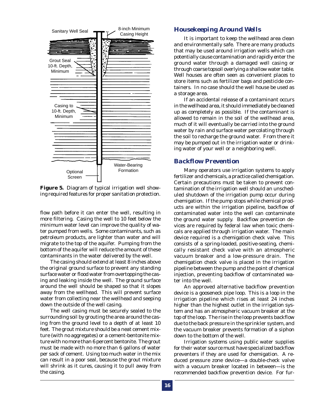

**Figure 5.** Diagram of typical irrigation well showing required features for proper sanitation protection.

flow path before it can enter the well, resulting in more filtering. Casing the well to 10 feet below the minimum water level can improve the quality of water pumped from wells. Some contaminants, such as petroleum products, are lighter than water and will migrate to the top of the aquifer. Pumping from the bottom of the aquifer will reduce the amount of these contaminants in the water delivered by the well.

The casing should extend at least 8 inches above the original ground surface to prevent any standing surface water or flood water from overtopping the casing and leaking inside the well. The ground surface around the well should be shaped so that it slopes away from the wellhead. This will prevent surface water from collecting near the wellhead and seeping down the outside of the well casing.

The well casing must be securely sealed to the surrounding soil by grouting the area around the casing from the ground level to a depth of at least 10 feet. The grout mixture should be a neat cement mixture (with no aggregates) or a cement-bentonite mixture with no more than 6 percent bentonite. The grout must be made with no more than 6 gallons of water per sack of cement. Using too much water in the mix can result in a poor seal, because the grout mixture will shrink as it cures, causing it to pull away from the casing.

### *Housekeeping Around Wells*

It is important to keep the wellhead area clean and environmentally safe. There are many products that may be used around irrigation wells which can potentially cause contamination and rapidly enter the ground water through a damaged well casing or through coarse topsoil overlying a shallow water table. Well houses are often seen as convenient places to store items such as fertilizer bags and pesticide containers. In no case should the well house be used as a storage area.

If an accidental release of a contaminant occurs in the wellhead area, it should immediately be cleaned up as completely as possible. If the contaminant is allowed to remain in the soil of the wellhead area, much of it will eventually be carried into the ground water by rain and surface water percolating through the soil to recharge the ground water. From there it may be pumped out in the irrigation water or drinking water of your well or a neighboring well.

### *Backflow Prevention*

Many operators use irrigation systems to apply fertilizer and chemicals, a practice called chemigation. Certain precautions must be taken to prevent contamination of the irrigation well should an unscheduled shutdown of the irrigation pump occur during chemigation. If the pump stops while chemical products are within the irrigation pipeline, backflow of contaminated water into the well can contaminate the ground water supply. Backflow prevention devices are required by federal law when toxic chemicals are applied through irrigation water. The main device required is a chemigation check valve. This consists of a spring-loaded, positive-seating, chemically resistant check valve with an atmospheric vacuum breaker and a low-pressure drain. The chemigation check valve is placed in the irrigation pipeline between the pump and the point of chemical injection, preventing backflow of contaminated water into the well.

An approved alternative backflow prevention device is a gooseneck pipe loop. This is a loop in the irrigation pipeline which rises at least 24 inches higher than the highest outlet in the irrigation system and has an atmospheric vacuum breaker at the top of the loop. The rise in the loop prevents backflow due to the back pressure in the sprinkler system, and the vacuum breaker prevents formation of a siphon down to the bottom of the well.

Irrigation systems using public water supplies for their water source must have specialized backflow preventers if they are used for chemigation. A reduced pressure zone device—a double-check valve with a vacuum breaker located in between—is the recommended backflow prevention device. For fur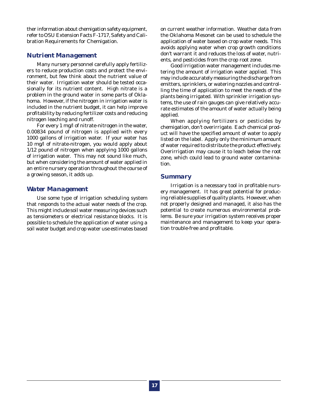ther information about chemigation safety equipment, refer to OSU Extension Facts F-1717, Safety and Calibration Requirements for Chemigation.

### *Nutrient Management*

Many nursery personnel carefully apply fertilizers to reduce production costs and protect the environment, but few think about the nutrient value of their water. Irrigation water should be tested occasionally for its nutrient content. High nitrate is a problem in the ground water in some parts of Oklahoma. However, if the nitrogen in irrigation water is included in the nutrient budget, it can help improve profitability by reducing fertilizer costs and reducing nitrogen leaching and runoff.

For every 1 mg/l of nitrate-nitrogen in the water, 0.00834 pound of nitrogen is applied with every 1000 gallons of irrigation water. If your water has 10 mg/l of nitrate-nitrogen, you would apply about 1/12 pound of nitrogen when applying 1000 gallons of irrigation water. This may not sound like much, but when considering the amount of water applied in an entire nursery operation throughout the course of a growing season, it adds up.

### *Water Management*

Use some type of irrigation scheduling system that responds to the actual water needs of the crop. This might include soil water measuring devices such as tensiometers or electrical resistance blocks. It is possible to schedule the application of water using a soil water budget and crop water use estimates based on current weather information. Weather data from the Oklahoma Mesonet can be used to schedule the application of water based on crop water needs. This avoids applying water when crop growth conditions don't warrant it and reduces the loss of water, nutrients, and pesticides from the crop root zone.

Good irrigation water management includes metering the amount of irrigation water applied. This may include accurately measuring the discharge from emitters, sprinklers, or watering nozzles and controlling the time of application to meet the needs of the plants being irrigated. With sprinkler irrigation systems, the use of rain gauges can give relatively accurate estimates of the amount of water actually being applied.

When applying fertilizers or pesticides by chemigation, don't overirrigate. Each chemical product will have the specified amount of water to apply listed on the label. Apply only the minimum amount of water required to distribute the product effectively. Overirrigation may cause it to leach below the root zone, which could lead to ground water contamination.

### *Summary*

Irrigation is a necessary tool in profitable nursery management. It has great potential for producing reliable supplies of quality plants. However, when not properly designed and managed, it also has the potential to create numerous environmental problems. Be sure your irrigation system receives proper maintenance and management to keep your operation trouble-free and profitable.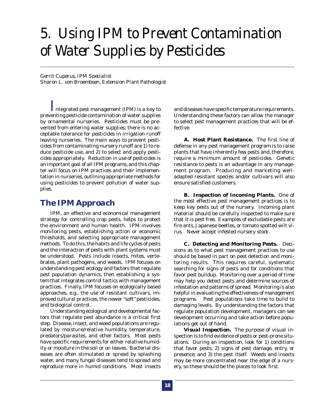# *5. Using IPM to Prevent Contamination of Water Supplies by Pesticides*

*Gerrit Cuperus, IPM Specialist Sharon L. von Broembsen, Extension Plant Pathologist*

*I*ntegrated pest management (IPM) is a key to preventing pesticide contamination of water supplies by ornamental nurseries. Pesticides must be prevented from entering water supplies; there is no acceptable tolerance for pesticides in irrigation runoff leaving nurseries. The main ways to prevent pesticides from contaminating nursery runoff are 1) to reduce pesticide use, and 2) to select and apply pesticides appropriately. Reduction in use of pesticides is an important goal of all IPM programs, and this chapter will focus on IPM practices and their implementation in nurseries, outlining appropriate methods for using pesticides to prevent pollution of water supplies.

### *The IPM Approach*

IPM, an effective and economical management strategy for controlling crop pests, helps to protect the environment and human health. IPM involves monitoring pests, establishing action or economic thresholds, and selecting appropriate management methods. To do this, the habits and life cycles of pests and the interaction of pests with plant systems must be understood. Pests include insects, mites, vertebrates, plant pathogens, and weeds. IPM focuses on understanding pest ecology and factors that regulate pest population dynamics, then establishing a system that integrates control tactics with management practices. Finally, IPM focuses on ecologically based approaches, e.g., the use of resistant cultivars, improved cultural practices, the newer "soft" pesticides, and biological control.

Understanding ecological and developmental factors that regulate pest abundance is a critical first step. Disease, insect, and weed populations are regulated by moisture/relative humidity, temperature, predators/parasites, and other factors. Most pests have specific requirements for either relative humidity or moisture in the soil or on leaves. Bacterial diseases are often stimulated or spread by splashing water, and many fungal diseases tend to spread and reproduce more in humid conditions. Most insects

and diseases have specific temperature requirements. Understanding these factors can allow the manager to select pest management practices that will be effective.

**A. Host Plant Resistance.** The first line of defense in any pest management program is to raise plants that have inherently few pests and, therefore, require a minimum amount of pesticides. Genetic resistance to pests is an advantage in any management program. Producing and marketing welladapted resistant species and/or cultivars will also ensure satisfied customers.

**B. Inspection of Incoming Plants.** One of the most effective pest management practices is to keep key pests out of the nursery. Incoming plant material should be carefully inspected to make sure that it is pest free. Examples of excludable pests are fire ants, Japanese beetles, or tomato spotted wilt virus. *Never* accept infested nursery stock.

**C. Detecting and Monitoring Pests.** Decisions as to what pest management practices to use should be based in part on pest detection and monitoring results. This requires careful, systematic searching for signs of pests and for conditions that favor pest buildup. Monitoring over a period of time may help you detect pests and determine sources of infestation and patterns of spread. Monitoring is also helpful in evaluating the effectiveness of management programs. Pest populations take time to build to damaging levels. By understanding the factors that regulate population development, managers can see development occurring and take action before populations get out of hand.

*Visual Inspection.* The purpose of visual inspection is to find evidence of pests or pest-prone situations. During an inspection, look for 1) conditions that favor pests; 2) signs of pest damage, entry, or presence; and 3) the pest itself. Weeds and insects may be more concentrated near the edge of a nursery, so these should be the places to look first.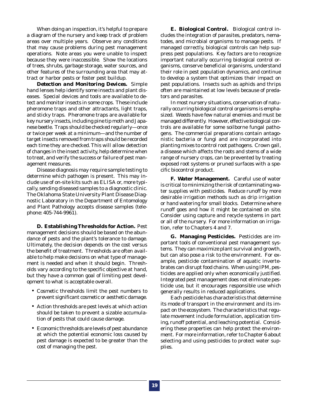When doing an inspection, it's helpful to prepare a diagram of the nursery and keep track of problem areas over multiple years. Observe any conditions that may cause problems during pest management operations. Note areas you were unable to inspect because they were inaccessible. Show the locations of trees, shrubs, garbage storage, water sources, and other features of the surrounding area that may attract or harbor pests or foster pest buildup.

*Detection and Monitoring Devices.* Simple hand lenses help identify some insects and plant diseases. Special devices and tools are available to detect and monitor insects in some crops. These include pheromone traps and other attractants, light traps, and sticky traps. Pheromone traps are available for key nursery insects, including pine tip moth and Japanese beetle. Traps should be checked regularly—once or twice per week at a minimum—and the number of target insects removed from traps should be recorded each time they are checked. This will allow detection of changes in the insect activity, help determine when to treat, and verify the success or failure of pest management measures.

Disease diagnosis may require sample testing to determine which pathogen is present. This may include use of on-site kits such as ELISA or, more typically, sending diseased samples to a diagnostic clinic. The Oklahoma State University Plant Disease Diagnostic Laboratory in the Department of Entomology and Plant Pathology accepts disease samples (telephone: 405-744-9961).

**D. Establishing Thresholds for Action.** Pest management decisions should be based on the abundance of pests and the plant's tolerance to damage. Ultimately, the decision depends on the cost versus the benefit of treatment. Thresholds are often available to help make decisions on what type of management is needed and when it should begin. Thresholds vary according to the specific objective at hand, but they have a common goal of limiting pest development to what is acceptable overall.

- Cosmetic thresholds limit the pest numbers to prevent significant cosmetic or aesthetic damage.
- Action thresholds are pest levels at which action should be taken to prevent a sizable accumulation of pests that could cause damage.
- Economic thresholds are levels of pest abundance at which the potential economic loss caused by pest damage is expected to be greater than the cost of managing the pest.

**E. Biological Control.** Biological control includes the integration of parasites, predators, nematodes, and microbial organisms to manage pests. If managed correctly, biological controls can help suppress pest populations. Key factors are to recognize important naturally occurring biological control organisms, conserve beneficial organisms, understand their role in pest population dynamics, and continue to develop a system that optimizes their impact on pest populations. Insects such as aphids and thrips often are maintained at low levels because of predators and parasites.

In most nursery situations, conservation of naturally occurring biological control organisms is emphasized. Weeds have few natural enemies and must be managed differently. However, effective biological controls are available for some soilborne fungal pathogens. The commercial preparations contain antagonistic bacteria or fungi and are incorporated into planting mixes to control root pathogens. Crown gall, a disease which affects the roots and stems of a wide range of nursery crops, can be prevented by treating exposed root systems or pruned surfaces with a specific biocontrol product.

**F. Water Management.** Careful use of water is critical to minimizing the risk of contaminating water supplies with pesticides. Reduce runoff by more desirable irrigation methods such as drip irrigation or hand watering for small blocks. Determine where runoff goes and how it might be contained on site. Consider using capture and recycle systems in part or all of the nursery. For more information on irrigation, refer to Chapters 4 and 7.

**G. Managing Pesticides.** Pesticides are important tools of conventional pest management systems. They can maximize plant survival and growth, but can also pose a risk to the environment. For example, pesticide contamination of aquatic invertebrates can disrupt food chains. When using IPM, pesticides are applied only when economically justified. Integrated pest management does not eliminate pesticide use, but it encourages responsible use which generally results in reduced applications.

Each pesticide has characteristics that determine its mode of transport in the environment and its impact on the ecosystem. The characteristics that regulate movement include formulation, application timing, runoff potential, and leaching potential. Considering these properties can help protect the environment. For more information, refer to Chapter 6 about selecting and using pesticides to protect water supplies.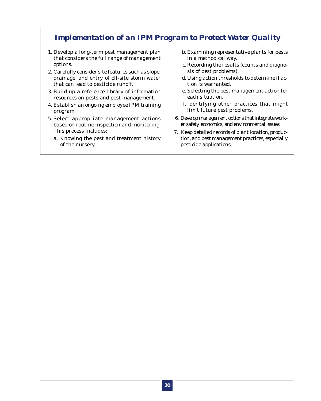### *Implementation of an IPM Program to Protect Water Quality*

- 1. Develop a long-term pest management plan that considers the full range of management options.
- 2. Carefully consider site features such as slope, drainage, and entry of off-site storm water that can lead to pesticide runoff.
- 3. Build up a reference library of information resources on pests and pest management.
- 4. Establish an ongoing employee IPM training program.
- 5. Select appropriate management actions based on routine inspection and monitoring. This process includes:
	- a. Knowing the pest and treatment history of the nursery.
- b. Examining representative plants for pests in a methodical way.
- c. Recording the results (counts and diagnosis of pest problems).
- d. Using action thresholds to determine if action is warranted.
- e. Selecting the best management action for each situation.
- f. Identifying other practices that might limit future pest problems.
- 6. Develop management options that integrate worker safety, economics, and environmental issues.
- 7. Keep detailed records of plant location, production, and pest management practices, especially pesticide applications.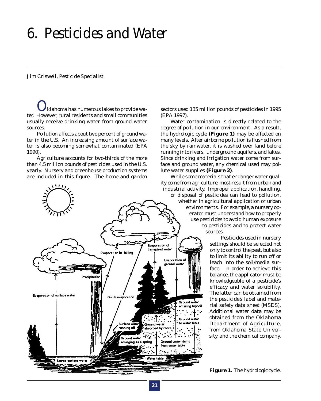# *6. Pesticides and Water*

#### *Jim Criswell, Pesticide Specialist*

*O*klahoma has numerous lakes to provide water. However, rural residents and small communities usually receive drinking water from ground water sources.

Pollution affects about two percent of ground water in the U.S. An increasing amount of surface water is also becoming somewhat contaminated (EPA 1990).

Agriculture accounts for two-thirds of the more than 4.5 million pounds of pesticides used in the U.S. yearly. Nursery and greenhouse production systems are included in this figure. The home and garden



sectors used 135 million pounds of pesticides in 1995 (EPA 1997).

Water contamination is directly related to the degree of pollution in our environment. As a result, the hydrologic cycle **(Figure 1)** may be affected on many levels. After airborne pollution is flushed from the sky by rainwater, it is washed over land before running into rivers, underground aquifers, and lakes. Since drinking and irrigation water come from surface and ground water, any chemical used may pollute water supplies **(Figure 2)**.

While some materials that endanger water quality come from agriculture, most result from urban and industrial activity. Improper application, handling, or disposal of pesticides can lead to pollution, whether in agricultural application or urban environments. For example, a nursery operator must understand how to properly use pesticides to avoid human exposure to pesticides and to protect water sources.

> Pesticides used in nursery settings should be selected not only to control the pest, but also to limit its ability to run off or leach into the soil/media surface. In order to achieve this balance, the applicator must be knowledgeable of a pesticide's efficacy and water solubility. The latter can be obtained from the pesticide's label and material safety data sheet (MSDS). Additional water data may be obtained from the Oklahoma Department of Agriculture, from Oklahoma State University, and the chemical company.

**Figure 1.** The hydrologic cycle.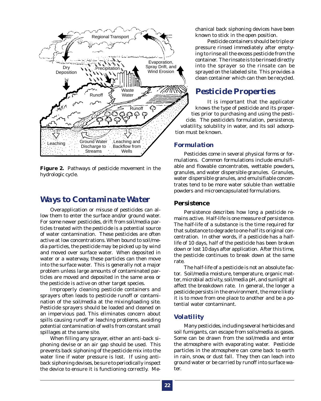

**Figure 2.** Pathways of pesticide movement in the hydrologic cycle.

### *Ways to Contaminate Water*

Overapplication or misuse of pesticides can allow them to enter the surface and/or ground water. For some newer pesticides, drift from soil/media particles treated with the pesticide is a potential source of water contamination. These pesticides are often active at low concentrations. When bound to soil/media particles, the pesticide may be picked up by wind and moved over surface water. When deposited in water or a waterway, these particles can then move into the surface water. This is generally not a major problem unless large amounts of contaminated particles are moved and deposited in the same area or the pesticide is active on other target species.

Improperly cleaning pesticide containers and sprayers often leads to pesticide runoff or contamination of the soil/media at the mixing/loading site. Pesticide sprayers should be loaded and cleaned on an impervious pad. This eliminates concern about spills causing runoff or leaching problems, avoiding potential contamination of wells from constant small spillages at the same site.

When filling any sprayer, either an anti-back siphoning devise or an air gap should be used. This prevents back siphoning of the pesticide mix into the water line if water pressure is lost. If using antiback siphoning devises, be sure to periodically inspect the device to ensure it is functioning correctly. Mechanical back siphoning devices have been known to stick in the open position.

Pesticide containers should be triple or pressure rinsed immediately after emptying to rinse all the excess pesticide from the container. The rinsate is to be rinsed directly into the sprayer so the rinsate can be sprayed on the labeled site. This provides a clean container which can then be recycled.

### *Pesticide Properties*

It is important that the applicator knows the type of pesticide and its properties prior to purchasing and using the pesticide. The pesticide's formulation, persistence, volatility, solubility in water, and its soil adsorption must be known.

### *Formulation*

Pesticides come in several physical forms or formulations. Common formulations include emulsifiable and flowable concentrates, wettable powders, granules, and water dispersible granules. Granules, water dispersible granules, and emulsifiable concentrates tend to be more water soluble than wettable powders and microencapsulated formulations.

### *Persistence*

Persistence describes how long a pesticide remains active. Half-life is one measure of persistence. The half-life of a substance is the time required for that substance to degrade to one-half its original concentration. In other words, if a pesticide has a halflife of 10 days, half of the pesticide has been broken down or lost 10 days after application. After this time, the pesticide continues to break down at the same rate.

The half-life of a pesticide is not an absolute factor. Soil/media moisture, temperature, organic matter, microbial activity, soil/media pH, and sunlight all affect the breakdown rate. In general, the longer a pesticide persists in the environment, the more likely it is to move from one place to another and be a potential water contaminant.

### *Volatility*

Many pesticides, including several herbicides and soil fumigants, can escape from soils/media as gases. Some can be drawn from the soil/media and enter the atmosphere with evaporating water. Pesticide particles in the atmosphere can come back to earth in rain, snow, or dust fall. They then can leach into ground water or be carried by runoff into surface water.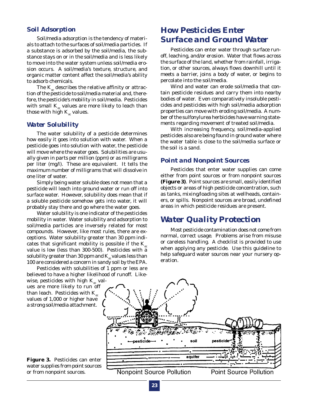### *Soil Adsorption*

Soil/media adsorption is the tendency of materials to attach to the surfaces of soil/media particles. If a substance is adsorbed by the soil/media, the substance stays on or in the soil/media and is less likely to move into the water system unless soil/media erosion occurs. A soil/media's texture, structure, and organic matter content affect the soil/media's ability to adsorb chemicals.

The  $K_{\alpha}$  describes the relative affinity or attraction of the pesticide to soil/media material and, therefore, the pesticide's mobility in soil/media. Pesticides with small  $K_{\alpha}$  values are more likely to leach than those with high  $K_{oc}$  values.

### *Water Solubility*

The water solubility of a pesticide determines how easily it goes into solution with water. When a pesticide goes into solution with water, the pesticide will move where the water goes. Solubilities are usually given in parts per million (ppm) or as milligrams per liter (mg/l). These are equivalent. It tells the maximum number of milligrams that will dissolve in one liter of water.

Simply being water soluble does not mean that a pesticide will leach into ground water or run off into surface water. However, solubility does mean that if a soluble pesticide somehow gets into water, it will probably stay there and go where the water goes.

Water solubility is one indicator of the pesticides mobility in water. Water solubility and adsorption to soil/media particles are inversely related for most compounds. However, like most rules, there are exceptions. Water solubility greater than 30 ppm indicates that significant mobility is possible if the  $K_{\infty}$ value is low (less than 300-500). Pesticides with a solubility greater than 30 ppm and  $K_{\alpha}$  values less than 100 are considered a concern in sandy soil by the EPA.

Pesticides with solubilities of 1 ppm or less are believed to have a higher likelihood of runoff. Like-

wise, pesticides with high  $K_{oc}$  values are more likely to run off than leach. Pesticides with  $K_{\alpha}$ values of 1,000 or higher have a strong soil/media attachment.

**Figure 3.** Pesticides can enter water supplies from point sources or from nonpoint sources.

### *How Pesticides Enter Surface and Ground Water*

Pesticides can enter water through surface runoff, leaching, and/or erosion. Water that flows across the surface of the land, whether from rainfall, irrigation, or other sources, always flows downhill until it meets a barrier, joins a body of water, or begins to percolate into the soil/media.

Wind and water can erode soil/media that contain pesticide residues and carry them into nearby bodies of water. Even comparatively insoluble pesticides and pesticides with high soil/media adsorption properties can move with eroding soil/media. A number of the sulfonylurea herbicides have warning statements regarding movement of treated soil/media.

With increasing frequency, soil/media-applied pesticides also are being found in ground water where the water table is close to the soil/media surface or the soil is a sand.

### *Point and Nonpoint Sources*

Pesticides that enter water supplies can come either from point sources or from nonpoint sources **(Figure 3)**. Point sources are small, easily identified objects or areas of high pesticide concentration, such as tanks, mixing/loading sites at wellheads, containers, or spills. Nonpoint sources are broad, undefined areas in which pesticide residues are present.

### *Water Quality Protection*

Most pesticide contamination does not come from normal, correct usage. Problems arise from misuse or careless handling. A checklist is provided to use when applying any pesticide. Use this guideline to help safeguard water sources near your nursery operation.



**Nonpoint Source Pollution** 

**Point Source Pollution**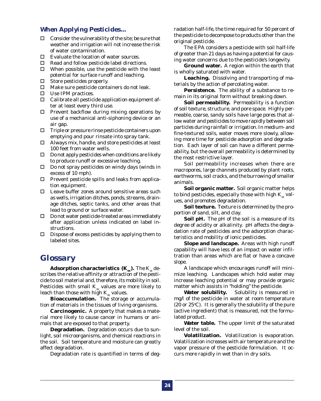### *When Applying Pesticides...*

- $\Box$  Consider the vulnerability of the site; be sure that weather and irrigation will not increase the risk of water contamination.
- $\Box$  Evaluate the location of water sources.
- $\Box$  Read and follow pesticide label directions.
- $\square$  When possible, use the pesticide with the least potential for surface runoff and leaching.
- $\Box$  Store pesticides properly.
- $\Box$  Make sure pesticide containers do not leak.
- $\square$  Use IPM practices.
- $\Box$  Calibrate all pesticide application equipment after at least every third use.
- $\Box$  Prevent backflow during mixing operations by use of a mechanical anti-siphoning device or an air gap.
- $\Box$  Triple or pressure rinse pesticide containers upon emptying and pour rinsate into spray tank.
- $\Box$  Always mix, handle, and store pesticides at least 100 feet from water wells.
- $\Box$  Do not apply pesticides when conditions are likely to produce runoff or excessive leaching.
- $\square$  Do not spray pesticides on windy days (winds in excess of 10 mph).
- $\Box$  Prevent pesticide spills and leaks from application equipment.
- $\Box$  Leave buffer zones around sensitive areas such as wells, irrigation ditches, ponds, streams, drainage ditches, septic tanks, and other areas that lead to ground or surface water.
- $\square$  Do not water pesticide-treated areas immediately after application unless indicated on label instructions.
- $\square$  Dispose of excess pesticides by applying them to labeled sites.

### *Glossary*

**Adsorption characteristics (K<sub>o</sub>).** The K<sub>oc</sub> describes the relative affinity or attraction of the pesticide to soil material and, therefore, its mobility in soil. Pesticides with small  $K_{oc}$  values are more likely to leach than those with high  $K_{oc}$  values.

**Bioaccumulation.** The storage or accumulation of materials in the tissues of living organisms.

**Carcinogenic.** A property that makes a material more likely to cause cancer in humans or animals that are exposed to that property.

**Degradation.** Degradation occurs due to sunlight, soil microorganisms, and chemical reactions in the soil. Soil temperature and moisture can greatly affect degradation.

Degradation rate is quantified in terms of deg-

radation half-life, the time required for 50 percent of the pesticide to decompose to products other than the original pesticide.

The EPA considers a pesticide with soil half-life of greater than 21 days as having a potential for causing water concerns due to the pesticide's longevity.

**Ground water.** A region within the earth that is wholly saturated with water.

**Leaching.** Dissolving and transporting of materials by the action of percolating water.

**Persistence.** The ability of a substance to remain in its original form without breaking down.

**Soil permeability.** Permeability is a function of soil texture, structure, and pore space. Highly permeable, coarse, sandy soils have large pores that allow water and pesticides to move rapidly between soil particles during rainfall or irrigation. In medium- and fine-textured soils, water moves more slowly, allowing more time for pesticide adsorption and degradation. Each layer of soil can have a different permeability, but the overall permeability is determined by the most restrictive layer.

Soil permeability increases when there are macropores, large channels produced by plant roots, earthworms, soil cracks, and the burrowing of smaller animals.

**Soil organic matter.** Soil organic matter helps to bind pesticides, especially those with high  $K_{oc}$  values, and promotes degradation.

**Soil texture.** Texture is determined by the proportion of sand, silt, and clay.

**Soil pH.** The pH of the soil is a measure of its degree of acidity or alkalinity. pH affects the degradation rate of pesticides and the adsorption characteristics and mobility of ionic pesticides.

**Slope and landscape.** Areas with high runoff capability will have less of an impact on water infiltration than areas which are flat or have a concave slope.

A landscape which encourages runoff will minimize leaching. Landscapes which hold water may increase leaching potential or may provide organic matter which assists in "holding" the pesticide.

**Water solubility.** Solubility is measured in mg/l of the pesticide in water at room temperature  $(20 \text{ or } 25^{\circ}\text{C})$ . It is generally the solubility of the pure (active ingredient) that is measured, not the formulated product.

**Water table.** The upper limit of the saturated level of the soil.

**Volatilization.** Volatilization is evaporation. Volatilization increases with air temperature and the vapor pressure of the pesticide formulation. It occurs more rapidly in wet than in dry soils.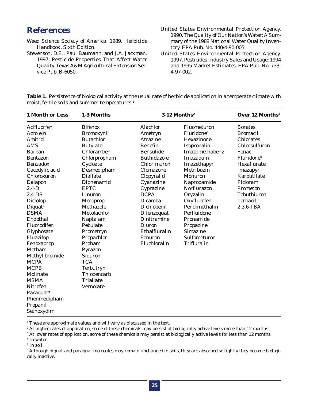### *References*

- Weed Science Society of America. 1989. Herbicide Handbook. Sixth Edition.
- Stevenson, D.E., Paul Baumann, and J.A. Jackman. 1997. Pesticide Properties That Affect Water Quality. Texas A&M Agricultural Extension Service Pub. B-6050.
- United States Environmental Protection Agency. 1990. The Quality of Our Nation's Water: A Summary of the 1988 National Water Quality Inventory. EPA Pub. No. 440/4-90-005.
- United States Environmental Protection Agency. 1997. Pesticides Industry Sales and Usage: 1994 and 1995 Market Estimates. EPA Pub. No. 733- 4-97-002.

| Table 1. Persistence of biological activity at the usual rate of herbicide application in a temperate climate with |  |
|--------------------------------------------------------------------------------------------------------------------|--|
| moist, fertile soils and summer temperatures. <sup>1</sup>                                                         |  |

| Alachlor<br>Ametryn<br><b>Atrazine</b><br><b>Benefin</b><br><b>Bensulide</b>                                                                        | Fluometuron<br>Fluridone <sup>4</sup><br>Hexazinone<br>Isopropalin                                                                                                | <b>Borates</b><br><b>Bromacil</b><br><b>Chlorates</b>                                      |
|-----------------------------------------------------------------------------------------------------------------------------------------------------|-------------------------------------------------------------------------------------------------------------------------------------------------------------------|--------------------------------------------------------------------------------------------|
| <b>Buthidazole</b><br>Chlorimuron<br>Clomazone<br>Clopyralid                                                                                        | Imazamethabenz<br>Imazaquin<br>Imazethapyr<br>Metribuzin<br><b>Monuron</b>                                                                                        | Chlorsulfuron<br>Fenac<br>Fluridone <sup>5</sup><br>Hexaflurate<br>Imazapyr<br>Karbutilate |
| Cyanazine<br>Cyprazine<br><b>DCPA</b><br>Dicamba<br>Dichlobenil<br>Difenzoquat<br>Dinitramine<br>Diuron<br>Ethalfluralin<br>Fenuron<br>Fluchloralin | Napropamide<br>Norflurazon<br>Oryzalin<br>Oxyfluorfen<br>Pendimethalin<br>Perfluidone<br>Pronamide<br>Propazine<br><b>Simazine</b><br>Sulfometuron<br>Trifluralin | Picloram<br>Prometon<br><b>Tebuthiuron</b><br><b>Terbacil</b><br>$2,3,6$ -TBA              |
|                                                                                                                                                     |                                                                                                                                                                   |                                                                                            |

<sup>1</sup> These are approximate values and will vary as discussed in the text.

2 At higher rates of application, some of these chemicals may persist at biologically active levels more than 12 months.

3 At lower rates of application, some of these chemicals may persist at biologically active levels for less than 12 months.

 $^6$  Although diquat and paraquat molecules may remain unchanged in soils, they are absorbed so tightly they become biologically inactive.

<sup>4</sup> In water.

<sup>5</sup> In soil.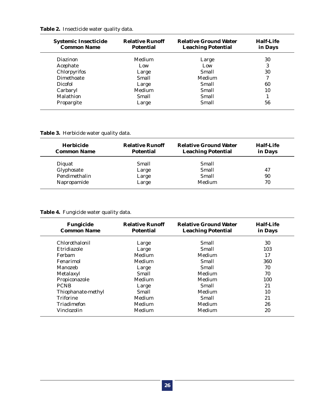|  | Table 2. Insecticide water quality data. |  |  |  |
|--|------------------------------------------|--|--|--|
|--|------------------------------------------|--|--|--|

| <b>Systemic Insecticide</b><br><b>Common Name</b> | <b>Relative Runoff</b><br><b>Potential</b> | <b>Relative Ground Water</b><br><b>Leaching Potential</b> | <b>Half-Life</b><br>in Days |
|---------------------------------------------------|--------------------------------------------|-----------------------------------------------------------|-----------------------------|
| <b>Diazinon</b>                                   | Medium                                     | Large                                                     | 30                          |
| Acephate                                          | Low                                        | Low                                                       | 3                           |
| Chlorpyrifos                                      | Large                                      | Small                                                     | 30                          |
| <b>Dimethoate</b>                                 | Small                                      | <b>Medium</b>                                             | 7                           |
| <b>Dicofol</b>                                    | Large                                      | Small                                                     | 60                          |
| Carbaryl                                          | Medium                                     | Small                                                     | 10                          |
| Malathion                                         | Small                                      | Small                                                     |                             |
| Propargite                                        | Large                                      | Small                                                     | 56                          |

### **Table 3.** Herbicide water quality data.

| Herbicide<br><b>Common Name</b> | <b>Relative Runoff</b><br><b>Potential</b> | <b>Relative Ground Water</b><br><b>Leaching Potential</b> | <b>Half-Life</b><br>in Days |
|---------------------------------|--------------------------------------------|-----------------------------------------------------------|-----------------------------|
| Diguat                          | Small                                      | Small                                                     |                             |
| Glyphosate                      | Large                                      | Small                                                     | 47                          |
| Pendimethalin                   | Large                                      | Small                                                     | 90                          |
| Napropamide                     | Large                                      | Medium                                                    | 70                          |

### **Table 4.** Fungicide water quality data.

| <b>Fungicide</b><br><b>Common Name</b> | <b>Relative Runoff</b><br><b>Potential</b> | <b>Relative Ground Water</b><br><b>Leaching Potential</b> | Half-Life<br>in Days |
|----------------------------------------|--------------------------------------------|-----------------------------------------------------------|----------------------|
| Chlorothalonil                         | Large                                      | Small                                                     | 30                   |
| Etridiazole                            | Large                                      | Small                                                     | 103                  |
| Ferbam                                 | Medium                                     | Medium                                                    | 17                   |
| Fenarimol                              | Medium                                     | Small                                                     | 360                  |
| Manozeb                                | Large                                      | Small                                                     | 70                   |
| Metalaxyl                              | Small                                      | Medium                                                    | 70                   |
| Propiconazole                          | Medium                                     | Medium                                                    | 100                  |
| <b>PCNB</b>                            | Large                                      | Small                                                     | 21                   |
| Thiophanate-methyl                     | Small                                      | Medium                                                    | 10                   |
| <b>Triforine</b>                       | Medium                                     | Small                                                     | 21                   |
| Triadimefon                            | Medium                                     | Medium                                                    | 26                   |
| Vinclozolin                            | Medium                                     | Medium                                                    | 20                   |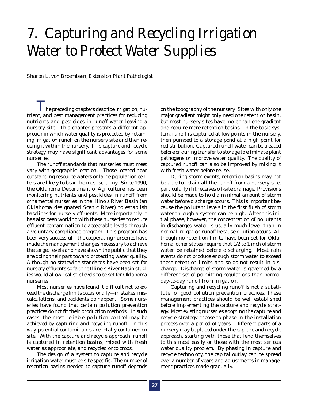# *7. Capturing and Recycling Irrigation Water to Protect Water Supplies*

*Sharon L. von Broembsen, Extension Plant Pathologist*

 $T_{\rm he}$  preceding chapters describe irrigation, nutrient, and pest management practices for reducing nutrients and pesticides in runoff water leaving a nursery site. This chapter presents a different approach in which water quality is protected by retaining irrigation runoff on the nursery site and then reusing it within the nursery. This capture and recycle strategy may have significant advantages for some nurseries.

The runoff standards that nurseries must meet vary with geographic location. Those located near outstanding resource waters or large population centers are likely to bear the most scrutiny. Since 1990, the Oklahoma Department of Agriculture has been monitoring nutrients and pesticides in runoff from ornamental nurseries in the Illinois River Basin (an Oklahoma designated Scenic River) to establish baselines for nursery effluents. More importantly, it has also been working with these nurseries to reduce effluent contamination to acceptable levels through a voluntary compliance program. This program has been very successful—the cooperating nurseries have made the management changes necessary to achieve the target levels and have shown the public that they are doing their part toward protecting water quality. Although no statewide standards have been set for nursery effluents so far, the Illinois River Basin studies would allow realistic levels to be set for Oklahoma nurseries.

Most nurseries have found it difficult not to exceed the discharge limits occasionally—mistakes, miscalculations, and accidents do happen. Some nurseries have found that certain pollution prevention practices do not fit their production methods. In such cases, the most reliable pollution control may be achieved by capturing and recycling runoff. In this way, potential contaminants are totally contained on site. With the capture and recycle approach, runoff is captured in retention basins, mixed with fresh water as appropriate, and recycled onto crops.

The design of a system to capture and recycle irrigation water must be site specific. The number of retention basins needed to capture runoff depends

on the topography of the nursery. Sites with only one major gradient might only need one retention basin, but most nursery sites have more than one gradient and require more retention basins. In the basic system, runoff is captured at low points in the nursery, then pumped to a storage pond at a high point for redistribution. Captured runoff water can be treated before or during transfer to storage to eliminate plant pathogens or improve water quality. The quality of captured runoff can also be improved by mixing it with fresh water before reuse.

During storm events, retention basins may not be able to retain all the runoff from a nursery site, particularly if it receives off-site drainage. Provisions should be made to hold a minimal amount of storm water before discharge occurs. This is important because the pollutant levels in the first flush of storm water through a system can be high. After this initial phase, however, the concentration of pollutants in discharged water is usually much lower than in normal irrigation runoff because dilution occurs. Although no retention limits have been set for Oklahoma, other states require that 1/2 to 1 inch of storm water be retained before discharging. Most rain events do not produce enough storm water to exceed these retention limits and so do not result in discharge. Discharge of storm water is governed by a different set of permitting regulations than normal day-to-day runoff from irrigation.

Capturing and recycling runoff is not a substitute for good pollution prevention practices. These management practices should be well established before implementing the capture and recycle strategy. Most existing nurseries adopting the capture and recycle strategy choose to phase in the installation process over a period of years. Different parts of a nursery may be placed under the capture and recycle approach, starting with those that lend themselves to this most easily or those with the most serious water quality problem. By phasing in capture and recycle technology, the capital outlay can be spread over a number of years and adjustments in management practices made gradually.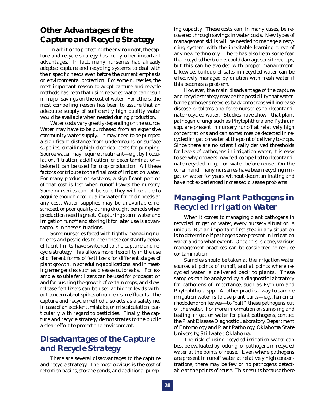### *Other Advantages of the Capture and Recycle Strategy*

In addition to protecting the environment, the capture and recycle strategy has many other important advantages. In fact, many nurseries had already adopted capture and recycling systems to deal with their specific needs even before the current emphasis on environmental protection. For some nurseries, the most important reason to adopt capture and recycle methods has been that using recycled water can result in major savings on the cost of water. For others, the most compelling reason has been to assure that an adequate supply of sufficiently high quality water would be available when needed during production.

Water costs vary greatly depending on the source. Water may have to be purchased from an expensive community water supply. It may need to be pumped a significant distance from underground or surface supplies, entailing high electrical costs for pumping. Source water may require treatment—e.g., by flocculation, filtration, acidification, or decontamination before it can be used for crop production. All these factors contribute to the final cost of irrigation water. For many production systems, a significant portion of that cost is lost when runoff leaves the nursery. Some nurseries cannot be sure they will be able to acquire enough good quality water for their needs at any cost. Water supplies may be unavailable, restricted, or poor quality during drought periods when production need is great. Capturing storm water and irrigation runoff and storing it for later use is advantageous in these situations.

Some nurseries faced with tightly managing nutrients and pesticides to keep these constantly below effluent limits have switched to the capture and recycle strategy. This allows more flexibility in the use of different forms of fertilizers for different stages of plant growth, in scheduling applications, and in meeting emergencies such as disease outbreaks. For example, soluble fertilizers can be used for propagation and for pushing the growth of certain crops, and slowrelease fertilizers can be used at higher levels without concern about spikes of nutrients in effluents. The capture and recycle method also acts as a safety net in case of an accident, mistake, or miscalculation, particularly with regard to pesticides. Finally, the capture and recycle strategy demonstrates to the public a clear effort to protect the environment.

### *Disadvantages of the Capture and Recycle Strategy*

There are several disadvantages to the capture and recycle strategy. The most obvious is the cost of retention basins, storage ponds, and additional pumping capacity. These costs can, in many cases, be recovered through savings in water costs. New types of management skills will be needed to manage a recycling system, with the inevitable learning curve of any new technology. There has also been some fear that recycled herbicides could damage sensitive crops, but this can be avoided with proper management. Likewise, buildup of salts in recycled water can be effectively managed by dilution with fresh water if this becomes a problem.

However, the main disadvantage of the capture and recycle strategy may be the possibility that waterborne pathogens recycled back onto crops will increase disease problems and force nurseries to decontaminate recycled water. Studies have shown that plant pathogenic fungi such as *Phytophthora* and *Pythium* spp. are present in nursery runoff at relatively high concentrations and can sometimes be detected in recycled irrigation water at the point of delivery to crops. Since there are no scientifically derived thresholds for levels of pathogens in irrigation water, it is easy to see why growers may feel compelled to decontaminate recycled irrigation water before reuse. On the other hand, many nurseries have been recycling irrigation water for years without decontaminating and have not experienced increased disease problems.

### *Managing Plant Pathogens in Recycled Irrigation Water*

When it comes to managing plant pathogens in recycled irrigation water, every nursery situation is unique. But an important first step in any situation is to determine if pathogens are present in irrigation water and to what extent. Once this is done, various management practices can be considered to reduce contamination.

Samples should be taken at the irrigation water source, at points of runoff, and at points where recycled water is delivered back to plants. These samples can be analyzed by a diagnostic laboratory for pathogens of importance, such as *Pythium* and *Phytophthora* spp. Another practical way to sample irrigation water is to use plant parts—e.g., lemon or rhododendron leaves—to "bait" these pathogens out of the water. For more information on sampling and testing irrigation water for plant pathogens, contact the Plant Disease Diagnostic Laboratory, Department of Entomology and Plant Pathology, Oklahoma State University, Stillwater, Oklahoma.

The risk of using recycled irrigation water can best be evaluated by looking for pathogens in recycled water at the points of reuse. Even where pathogens are present in runoff water at relatively high concentrations, there may be few or no pathogens detectable at the points of reuse. This results because there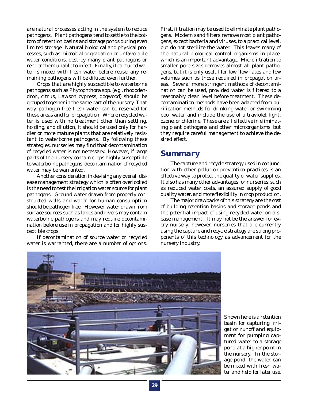are natural processes acting in the system to reduce pathogens. Plant pathogens tend to settle to the bottom of retention basins and storage ponds during even limited storage. Natural biological and physical processes, such as microbial degradation or unfavorable water conditions, destroy many plant pathogens or render them unable to infect. Finally, if captured water is mixed with fresh water before reuse, any remaining pathogens will be diluted even further.

Crops that are highly susceptible to waterborne pathogens such as *Phytophthora* spp. (e.g., rhododendron, citrus, Lawson cypress, dogwood) should be grouped together in the same part of the nursery. That way, pathogen-free fresh water can be reserved for these areas and for propagation. Where recycled water is used with no treatment other than settling, holding, and dilution, it should be used only for hardier or more mature plants that are relatively resistant to waterborne pathogens. By following these strategies, nurseries may find that decontamination of recycled water is not necessary. However, if large parts of the nursery contain crops highly susceptible to waterborne pathogens, decontamination of recycled water may be warranted.

Another consideration in devising any overall disease management strategy which is often overlooked is the need to test the irrigation water source for plant pathogens. Ground water drawn from properly constructed wells and water for human consumption should be pathogen free. However, water drawn from surface sources such as lakes and rivers may contain waterborne pathogens and may require decontamination before use in propagation and for highly susceptible crops.

If decontamination of source water or recycled water is warranted, there are a number of options.

First, filtration may be used to eliminate plant pathogens. Modern sand filters remove most plant pathogens, except bacteria and viruses, to a practical level, but do not sterilize the water. This leaves many of the natural biological control organisms in place, which is an important advantage. Microfiltration to smaller pore sizes removes almost all plant pathogens, but it is only useful for low flow rates and low volumes such as those required in propagation areas. Several more stringent methods of decontamination can be used, provided water is filtered to a reasonably clean level before treatment. These decontamination methods have been adapted from purification methods for drinking water or swimming pool water and include the use of ultraviolet light, ozone, or chlorine. These are all effective in eliminating plant pathogens and other microorganisms, but they require careful management to achieve the desired effect.

### *Summary*

The capture and recycle strategy used in conjunction with other pollution prevention practices is an effective way to protect the quality of water supplies. It also has many other advantages for nurseries, such as reduced water costs, an assured supply of good quality water, and more flexibility in crop production.

The major drawbacks of this strategy are the cost of building retention basins and storage ponds and the potential impact of using recycled water on disease management. It may not be the answer for every nursery; however, nurseries that are currently using the capture and recycle strategy are strong proponents of this technology as advancement for the nursery industry.



*Shown here is a retention basin for capturing irrigation runoff and equipment for pumping captured water to a storage pond at a higher point in the nursery. In the storage pond, the water can be mixed with fresh water and held for later use.*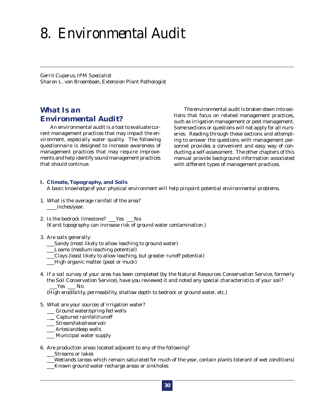# *8. Environmental Audit*

*Gerrit Cuperus, IPM Specialist Sharon L. von Broembsen, Extension Plant Pathologist*

### *What Is an Environmental Audit?*

An environmental audit is a tool to evaluate current management practices that may impact the environment, especially water quality. The following questionnaire is designed to increase awareness of management practices that may require improvements and help identify sound management practices that should continue.

The environmental audit is broken down into sections that focus on related management practices, such as irrigation management or pest management. Some sections or questions will not apply for all nurseries. Reading through these sections and attempting to answer the questions with management personnel provides a convenient and easy way of conducting a self-assessment. The other chapters of this manual provide background information associated with different types of management practices.

#### **I. Climate, Topography, and Soils**

*A basic knowledge of your physical environment will help pinpoint potential environmental problems.*

- 1. What is the average rainfall of the area? \_\_\_\_inches/year.
- 2. Is the bedrock limestone? \_\_\_Yes \_\_\_No (Karst topography can increase risk of ground water contamination.)
- 3. Are soils generally:
	- \_\_\_Sandy (most likely to allow leaching to ground water)
	- \_\_\_Loams (medium leaching potential)
	- \_\_\_Clays (least likely to allow leaching, but greater runoff potential)
	- \_\_\_High organic matter (peat or muck)
- 4. If a soil survey of your area has been completed (by the Natural Resources Conservation Service, formerly the Soil Conservation Service), have you reviewed it and noted any special characteristics of your soil? Yes No

(High erodibility, permeability, shallow depth to bedrock or ground water, etc.)

- 5. What are your sources of irrigation water?
	- \_\_\_ Ground water/spring-fed wells
	- \_\_ Captured rainfall/runoff
	- \_\_\_ Stream/lake/reservoir
	- \_\_\_ Artesian/deep wells
	- \_\_\_ Municipal water supply
- 6. Are production areas located adjacent to any of the following?
	- \_\_\_Streams or lakes
	- \_\_\_Wetlands (areas which remain saturated for much of the year, contain plants tolerant of wet conditions)
	- Known ground water recharge areas or sinkholes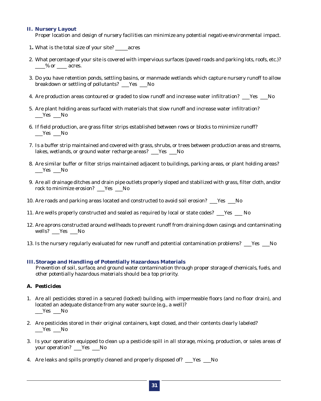#### **II. Nursery Layout**

*Proper location and design of nursery facilities can minimize any potential negative environmental impact.*

- 1**.** What is the total size of your site? \_\_\_\_\_acres
- 2. What percentage of your site is covered with impervious surfaces (paved roads and parking lots, roofs, etc.)?  $\frac{9}{6}$  or  $\frac{1}{2}$  acres.
- 3. Do you have retention ponds, settling basins, or manmade wetlands which capture nursery runoff to allow breakdown or settling of pollutants? \_\_\_Yes \_\_\_No
- 4. Are production areas contoured or graded to slow runoff and increase water infiltration? Fest No
- 5. Are plant holding areas surfaced with materials that slow runoff and increase water infiltration?  $\_\_\$ Yes  $\_\_\$
- 6. If field production, are grass filter strips established between rows or blocks to minimize runoff?  $\_\_\_\$ Yes  $\_\_\$  No
- 7. Is a buffer strip maintained and covered with grass, shrubs, or trees between production areas and streams, lakes, wetlands, or ground water recharge areas? Figstext Mo
- 8. Are similar buffer or filter strips maintained adjacent to buildings, parking areas, or plant holding areas?  $\_\_\_\$ Yes  $\_\_\$
- 9. Are all drainage ditches and drain pipe outlets properly sloped and stabilized with grass, filter cloth, and/or rock to minimize erosion? \_\_\_Yes \_\_\_No
- 10. Are roads and parking areas located and constructed to avoid soil erosion? \_\_\_Yes \_\_\_No
- 11. Are wells properly constructed and sealed as required by local or state codes? \_\_\_Yes \_\_\_ No
- 12. Are aprons constructed around wellheads to prevent runoff from draining down casings and contaminating wells? \_\_\_Yes \_\_\_No
- 13. Is the nursery regularly evaluated for new runoff and potential contamination problems? \_\_\_\_Yes \_\_\_\_No

#### **III. Storage and Handling of Potentially Hazardous Materials**

*Prevention of soil, surface, and ground water contamination through proper storage of chemicals, fuels, and other potentially hazardous materials should be a top priority.*

### *A. Pesticides*

- 1. Are all pesticides stored in a secured (locked) building, with impermeable floors (and no floor drain), and located an adequate distance from any water source (e.g., a well)?  $\_\$ Yes  $\_\$
- 2. Are pesticides stored in their original containers, kept closed, and their contents clearly labeled?  $\_\_\$ Yes  $\_\_\$
- 3. Is your operation equipped to clean up a pesticide spill in all storage, mixing, production, or sales areas of your operation? Yes No
- 4. Are leaks and spills promptly cleaned and properly disposed of? \_\_\_Yes \_\_\_No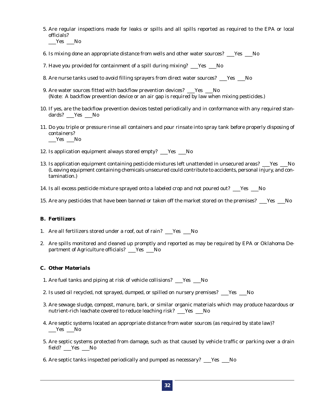- 5. Are regular inspections made for leaks or spills and all spills reported as required to the EPA or local officials?
	- $\_\_\$
- 6. Is mixing done an appropriate distance from wells and other water sources? Yes No
- 7. Have you provided for containment of a spill during mixing? \_\_\_Yes \_\_\_No
- 8. Are nurse tanks used to avoid filling sprayers from direct water sources? \_\_\_Yes \_\_\_No
- 9. Are water sources fitted with backflow prevention devices? \_\_\_Yes \_\_\_No (Note: A backflow prevention device or an air gap is required by law when mixing pesticides.)
- 10. If yes, are the backflow prevention devices tested periodically and in conformance with any required standards? \_\_\_Yes \_\_\_No
- 11. Do you triple or pressure rinse all containers and pour rinsate into spray tank before properly disposing of containers?
	- $\_\_\$ Yes  $\_\_\$
- 12. Is application equipment always stored empty? \_\_\_Yes \_\_\_No
- 13. Is application equipment containing pesticide mixtures left unattended in unsecured areas? \_\_\_\_\_\_\_\_No (Leaving equipment containing chemicals unsecured could contribute to accidents, personal injury, and contamination.)
- 14. Is all excess pesticide mixture sprayed onto a labeled crop and not poured out? Fig. 5. No
- 15. Are any pesticides that have been banned or taken off the market stored on the premises? Yes No

### *B. Fertilizers*

- 1. Are all fertilizers stored under a roof, out of rain? \_\_\_Yes \_\_\_No
- 2. Are spills monitored and cleaned up promptly and reported as may be required by EPA or Oklahoma Department of Agriculture officials? \_\_\_Yes \_\_\_No

#### *C. Other Materials*

- 1. Are fuel tanks and piping at risk of vehicle collisions? \_\_\_Yes \_\_\_No
- 2. Is used oil recycled, not sprayed, dumped, or spilled on nursery premises? \_\_\_Yes \_\_\_No
- 3. Are sewage sludge, compost, manure, bark, or similar organic materials which may produce hazardous or nutrient-rich leachate covered to reduce leaching risk? \_\_\_Yes \_\_\_No
- 4. Are septic systems located an appropriate distance from water sources (as required by state law)?  $\_\_\$ Yes  $\_\_\$
- 5. Are septic systems protected from damage, such as that caused by vehicle traffic or parking over a drain field? Yes No
- 6. Are septic tanks inspected periodically and pumped as necessary? \_\_\_Yes \_\_\_No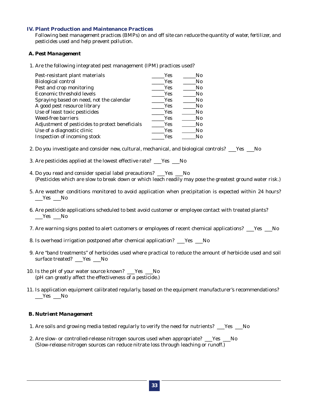#### **IV. Plant Production and Maintenance Practices**

*Following best management practices (BMPs) on and off site can reduce the quantity of water, fertilizer, and pesticides used and help prevent pollution.*

#### *A. Pest Management*

1. Are the following integrated pest management (IPM) practices used?

| Pest-resistant plant materials                  | Yes        | No.            |
|-------------------------------------------------|------------|----------------|
| <b>Biological control</b>                       | Yes        | N <sub>0</sub> |
| Pest and crop monitoring                        | Yes        | N <sub>0</sub> |
| Economic threshold levels                       | <b>Yes</b> | No.            |
| Spraying based on need, not the calendar        | <b>Yes</b> | N <sub>0</sub> |
| A good pest resource library                    | Yes        | No.            |
| Use of least toxic pesticides                   | <b>Yes</b> | $\rm No$       |
| <b>Weed-free barriers</b>                       | <b>Yes</b> | $\rm No$       |
| Adjustment of pesticides to protect beneficials | Yes        | N <sub>0</sub> |
| Use of a diagnostic clinic                      | Yes        | $\rm No$       |
| Inspection of incoming stock                    | Yes        | N0             |

- 2. Do you investigate and consider new, cultural, mechanical, and biological controls? Yes No
- 3. Are pesticides applied at the lowest effective rate? \_\_\_Yes \_\_\_No
- 4. Do you read and consider special label precautions? \_\_\_Yes \_\_\_No (Pesticides which are slow to break down or which leach readily may pose the greatest ground water risk.)
- 5. Are weather conditions monitored to avoid application when precipitation is expected within 24 hours?  $\_\_\$ Yes  $\_\_\$
- 6. Are pesticide applications scheduled to best avoid customer or employee contact with treated plants?  $\_\_\$
- 7. Are warning signs posted to alert customers or employees of recent chemical applications? \_\_\_Yes \_\_\_No
- 8. Is overhead irrigation postponed after chemical application? \_\_\_Yes \_\_\_No
- 9. Are "band treatments" of herbicides used where practical to reduce the amount of herbicide used and soil surface treated? Yes No
- 10. Is the pH of your water source known? \_\_\_Yes \_\_\_No (pH can greatly affect the effectiveness of a pesticide.)
- 11. Is application equipment calibrated regularly, based on the equipment manufacturer's recommendations?  $\_\_\$ Yes  $\_\_\$

#### *B. Nutrient Management*

- 1. Are soils and growing media tested regularly to verify the need for nutrients? \_\_\_Yes \_\_\_No
- 2. Are slow- or controlled-release nitrogen sources used when appropriate? \_\_\_Yes \_\_No (Slow-release nitrogen sources can reduce nitrate loss through leaching or runoff.)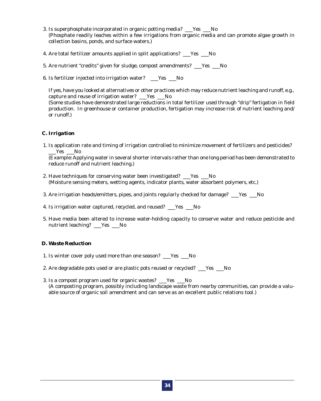- 3. Is superphosphate incorporated in organic potting media? \_\_\_Yes \_\_\_No (Phosphate readily leaches within a few irrigations from organic media and can promote algae growth in collection basins, ponds, and surface waters.)
- 4. Are total fertilizer amounts applied in split applications? \_\_\_\_\_\_\_\_\_\_\_\_\_\_\_
- 5. Are nutrient "credits" given for sludge, compost amendments? \_\_\_Yes \_\_\_No
- 6. Is fertilizer injected into irrigation water? \_\_\_Yes \_\_\_No

If yes, have you looked at alternatives or other practices which may reduce nutrient leaching and runoff, e.g., capture and reuse of irrigation water? \_\_\_Yes \_\_\_No (Some studies have demonstrated large reductions in total fertilizer used through "drip" fertigation in field production. In greenhouse or container production, fertigation may increase risk of nutrient leaching and/ or runoff.)

### *C. Irrigation*

1. Is application rate and timing of irrigation controlled to minimize movement of fertilizers and pesticides?  $Yes$  No

(Example: Applying water in several shorter intervals rather than one long period has been demonstrated to reduce runoff and nutrient leaching.)

- 2. Have techniques for conserving water been investigated? Fig. 5. No (Moisture sensing meters, wetting agents, indicator plants, water absorbent polymers, etc.)
- 3. Are irrigation heads/emitters, pipes, and joints regularly checked for damage? \_\_\_Yes \_\_\_No
- 4. Is irrigation water captured, recycled, and reused? \_\_\_Yes \_\_\_No
- 5. Have media been altered to increase water-holding capacity to conserve water and reduce pesticide and nutrient leaching? \_\_\_Yes \_\_\_No

### *D. Waste Reduction*

- 1. Is winter cover poly used more than one season? Yes No
- 2. Are degradable pots used or are plastic pots reused or recycled? \_\_\_Yes \_\_\_No
- 3. Is a compost program used for organic wastes? \_\_\_Yes \_\_\_No (A composting program, possibly including landscape waste from nearby communities, can provide a valuable source of organic soil amendment and can serve as an excellent public relations tool.)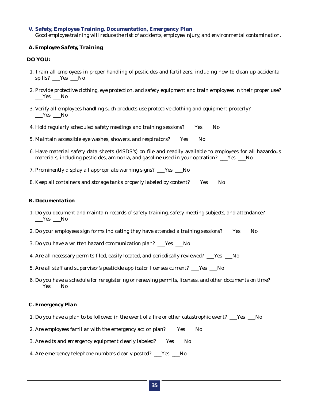#### **V. Safety, Employee Training, Documentation, Emergency Plan**

*Good employee training will reduce the risk of accidents, employee injury, and environmental contamination.*

### *A. Employee Safety, Training*

### **DO YOU:**

- 1. Train all employees in proper handling of pesticides and fertilizers, including how to clean up accidental spills? \_\_\_Yes \_\_\_No
- 2. Provide protective clothing, eye protection, and safety equipment and train employees in their proper use?  $\_\_\$ Yes  $\_\_\$
- 3. Verify all employees handling such products use protective clothing and equipment properly?  $\_\_\$ Yes  $\_\_\$
- 4. Hold regularly scheduled safety meetings and training sessions? \_\_\_\_\_\_\_\_\_\_\_
- 5. Maintain accessible eye washes, showers, and respirators? \_\_\_Yes \_\_\_No
- 6. Have material safety data sheets (MSDS's) on file and readily available to employees for all hazardous materials, including pesticides, ammonia, and gasoline used in your operation? \_\_\_Yes \_\_\_No
- 7. Prominently display all appropriate warning signs? \_\_\_Yes \_\_\_No
- 8. Keep all containers and storage tanks properly labeled by content? \_\_\_Yes \_\_\_No

#### *B. Documentation*

- 1. Do you document and maintain records of safety training, safety meeting subjects, and attendance? Yes No
- 2. Do your employees sign forms indicating they have attended a training sessions? \_\_\_Yes \_\_\_No
- 3. Do you have a written hazard communication plan? \_\_\_Yes \_\_\_No
- 4. Are all necessary permits filed, easily located, and periodically reviewed? \_\_\_Yes \_\_\_No
- 5. Are all staff and supervisor's pesticide applicator licenses current? \_\_\_Yes \_\_\_No
- 6. Do you have a schedule for reregistering or renewing permits, licenses, and other documents on time?  $\_\_\$ Yes  $\_\_\$

### *C. Emergency Plan*

- 1. Do you have a plan to be followed in the event of a fire or other catastrophic event? Fig. No
- 2. Are employees familiar with the emergency action plan? \_\_\_Yes \_\_\_No
- 3. Are exits and emergency equipment clearly labeled? \_\_\_Yes \_\_\_No
- 4. Are emergency telephone numbers clearly posted? \_\_\_Yes \_\_\_No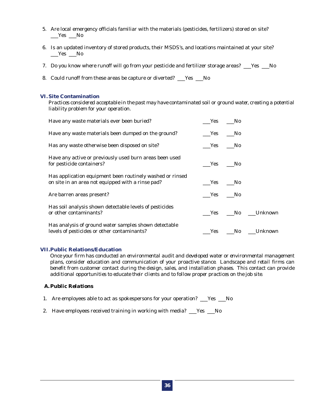- 5. Are local emergency officials familiar with the materials (pesticides, fertilizers) stored on site?  $Yes$   $No$
- 6. Is an updated inventory of stored products, their MSDS's, and locations maintained at your site?  $\_\_\$ Yes  $\_\_\$
- 7. Do you know where runoff will go from your pesticide and fertilizer storage areas? \_\_\_Yes \_\_\_No
- 8. Could runoff from these areas be capture or diverted? \_\_\_Yes \_\_\_No

#### **VI. Site Contamination**

*Practices considered acceptable in the past may have contaminated soil or ground water, creating a potential liability problem for your operation.*

| Have any waste materials ever been buried?                                                                     | Yes No |     |                    |
|----------------------------------------------------------------------------------------------------------------|--------|-----|--------------------|
| Have any waste materials been dumped on the ground?                                                            | Yes    | No. |                    |
| Has any waste otherwise been disposed on site?                                                                 | Yes No |     |                    |
| Have any active or previously used burn areas been used<br>for pesticide containers?                           | Yes No |     |                    |
| Has application equipment been routinely washed or rinsed<br>on site in an area not equipped with a rinse pad? | Yes No |     |                    |
| Are barren areas present?                                                                                      | Yes No |     |                    |
| Has soil analysis shown detectable levels of pesticides<br>or other contaminants?                              |        |     | Yes No Unknown     |
| Has analysis of ground water samples shown detectable<br>levels of pesticides or other contaminants?           |        |     | Yes __No __Unknown |

#### **VII.Public Relations/Education**

*Once your firm has conducted an environmental audit and developed water or environmental management plans, consider education and communication of your proactive stance. Landscape and retail firms can benefit from customer contact during the design, sales, and installation phases. This contact can provide additional opportunities to educate their clients and to follow proper practices on the job site.*

#### *A. Public Relations*

- 1. Are employees able to act as spokespersons for your operation? \_\_\_Yes \_\_\_No
- 2. Have employees received training in working with media? \_\_\_Yes \_\_\_No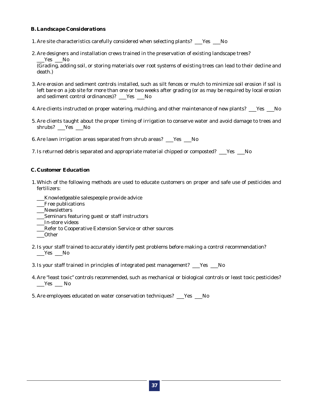### *B. Landscape Considerations*

- 1. Are site characteristics carefully considered when selecting plants? \_\_\_Yes \_\_\_No
- 2. Are designers and installation crews trained in the preservation of existing landscape trees? \_\_\_Yes \_\_\_No

(Grading, adding soil, or storing materials over root systems of existing trees can lead to their decline and death.)

- 3. Are erosion and sediment controls installed, such as silt fences or mulch to minimize soil erosion if soil is left bare on a job site for more than one or two weeks after grading (or as may be required by local erosion and sediment control ordinances)? \_\_\_Yes \_\_\_No
- 4. Are clients instructed on proper watering, mulching, and other maintenance of new plants? \_\_\_Yes \_\_\_No
- 5. Are clients taught about the proper timing of irrigation to conserve water and avoid damage to trees and shrubs? Yes No
- 6. Are lawn irrigation areas separated from shrub areas? \_\_\_Yes \_\_\_No
- 7. Is returned debris separated and appropriate material chipped or composted? \_\_\_Yes \_\_\_No

#### *C. Customer Education*

- 1. Which of the following methods are used to educate customers on proper and safe use of pesticides and fertilizers:
	- \_\_\_Knowledgeable salespeople provide advice
	- \_\_\_Free publications
	- \_\_\_Newsletters
	- \_\_\_Seminars featuring guest or staff instructors
	- \_\_\_In-store videos
	- \_\_\_Refer to Cooperative Extension Service or other sources
	- \_\_\_Other
- 2. Is your staff trained to accurately identify pest problems before making a control recommendation?  $\_\_\$ Yes  $\_\_\$

3. Is your staff trained in principles of integrated pest management? \_\_\_Yes \_\_\_No

- 4. Are "least toxic" controls recommended, such as mechanical or biological controls or least toxic pesticides?  $\_\_\_\$ Yes  $\_\_\_\$  No
- 5. Are employees educated on water conservation techniques? \_\_\_Yes \_\_\_No